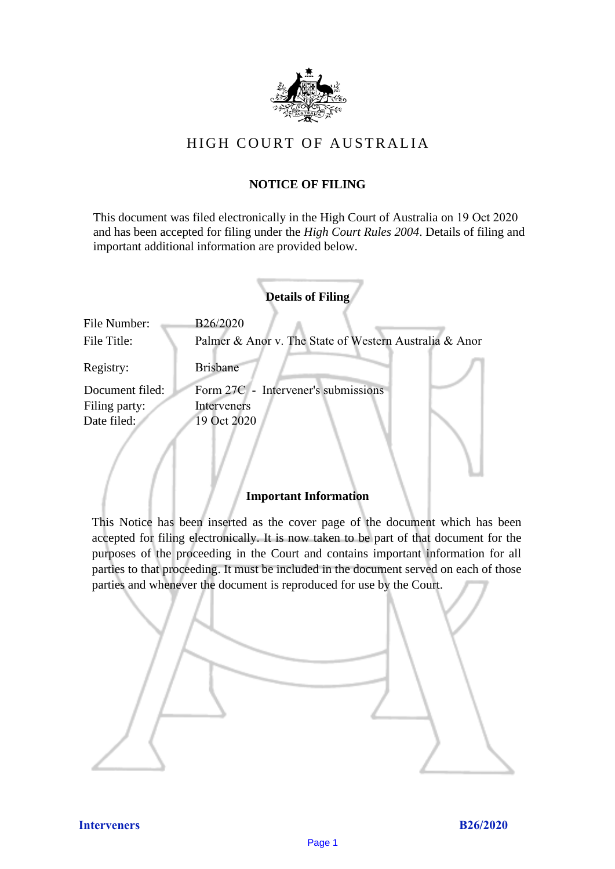

# HIGH COURT OF AU STRALIA HIGH COURT OF AUSTRALIA

# **NOTICE OF FILING** NOTICE OF FILING

This document was filed electronically in the High Court of Australia on 19 Oct 2020 This document was filed electronically in the High Court of Australia 0 and has been accepted for filing under the *High Court Rules 2004*. Details of filing and important additional information are provided below. important additional information are provided below.

|                             | <b>Details of Filing</b>                                           |
|-----------------------------|--------------------------------------------------------------------|
| File Number:<br>File Title: | B26/2020<br>Palmer & Anor v. The State of Western Australia & Anor |
| Registry:                   | <b>Brisbane</b>                                                    |
| Document filed:             | Form 27C - Intervener's submissions                                |
| Filing party:               | Interveners                                                        |
| Date filed:                 | 19 Oct 2020                                                        |
|                             |                                                                    |

# **Important Information** Important Information

This Notice has been inserted as the cover page of the document which has been accepted for filing electronically. It is now taken to be part of that document for the purposes of the proceeding in the Court and contains important information for all parties to that proceeding. It must be included in the document served on each of those parties and whenever the document is reproduced for use by the Court. parties and whenever the document is reproduced for use by the Court

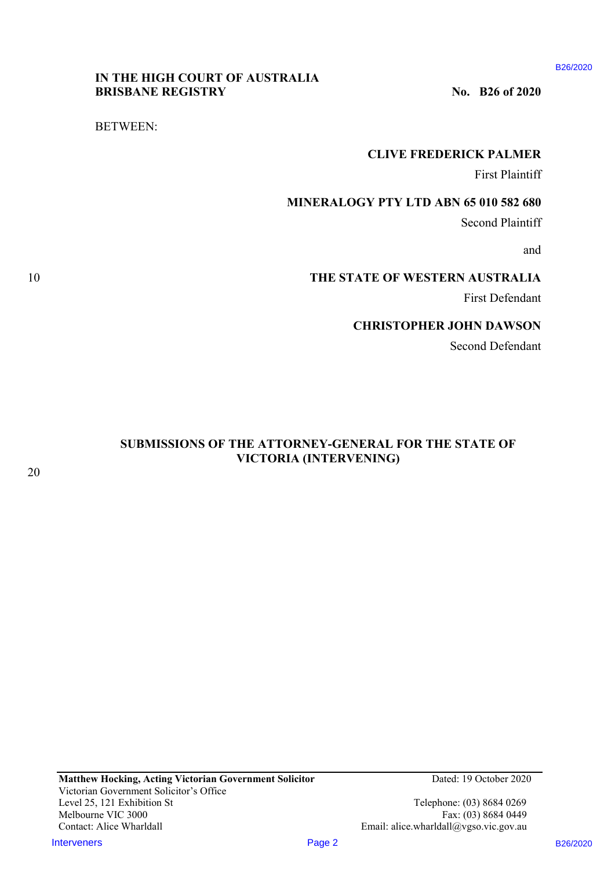B26/2020

# **IN THE HIGH COURT OF AUSTRALIA**  IN THE HIGH COURT OF AUSTRALIA **BRISBANE REGISTRY** No. B26 of 2020

BETWEEN: BETWEEN:

# **CLIVE FREDERICK PALMER**  CLIVE FREDERICK PALMER

First Plaintiff First Plaintiff

# **MINERALOGY PTY LTD ABN 65 010 582 680**  MINERALOGY PTY LTD ABN 65 010 582 680

Second Plaintiff Second Plaintiff

and and

# 10 **THE STATE OF WESTERN AUSTRALIA**  10 THE STATE OF WESTERN AUSTRALIA

First Defendant First Defendant

# **CHRISTOPHER JOHN DAWSON**  CHRISTOPHER JOHN DAWSON

Second Defendant Second Defendant

# **SUBMISSIONS OF THE ATTORNEY-GENERAL FOR THE STATE OF**  SUBMISSIONS OF THE ATTORNEY-GENERAL FOR THE STATE OF **VICTORIA (INTERVENING)**  VICTORIA (INTERVENING)

Telephone: (03) 8684 0269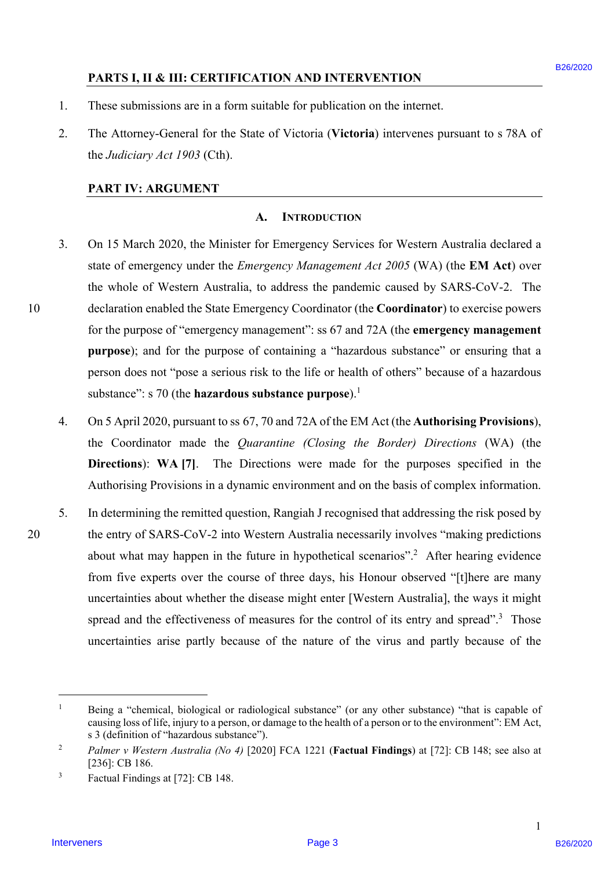# **PARTS I, II & III: CERTIFICATION AND INTERVENTION**

- 1. These submissions are in a form suitable for publication on the internet. These submissions are in <sup>a</sup> form suitable for publication on the internet.
- 2. The Attorney-General for the State of Victoria (**Victoria**) intervenes pursuant to s 78A of The Attorney-General for the State of Victoria (Victoria) intervenes pursuant to <sup>s</sup> 78A ofthe *Judiciary Act 1903* (Cth). the Judiciary Act 1903 (Cth).

### **PART IV: ARGUMENT**  PART IV: ARGUMENT

### **A. INTRODUCTION** A. INTRODUCTION

- 3. On 15 March 2020, the Minister for Emergency Services for Western Australia declared a On 15 March 2020, the Minister for Emergency Services for Western Australia declared a state of emergency under the *Emergency Management Act 2005* (WA) (the **EM Act**) over state of emergency under the Emergency Management Act 2005 (WA) (the EM Act) over the whole of Western Australia, to address the pandemic caused by SARS-CoV-2. The the whole of Western Australia, to address the pandemic caused by SARS-CoV-2. The 10 declaration enabled the State Emergency Coordinator (the **Coordinator**) to exercise powers declaration enabled the State Emergency Coordinator (the Coordinator) to exercise powers for the purpose of "emergency management": ss 67 and 72A (the **emergency management**  for the purpose of "emergency management": ss 67 and 72A (the emergency management purpose); and for the purpose of containing a "hazardous substance" or ensuring that a person does not "pose a serious risk to the life or health of others" because of a hazardous person does not "pose <sup>a</sup> serious risk to the life or health of others" because of a hazardous substance": s 70 (the **hazardous substance purpose**).<sup>1</sup> **PARTS 1, 11 & 11: CERTIFICATION AND INTERVENTION**<br>
1. These admissions are in a form suitable for publication on the internet.<br>
2. The Mattery-Greental for the State of Victoria (Victoria (Victoria Pierrese parsument to
	- 4. On 5 April 2020, pursuant to ss 67, 70 and 72A of the EM Act (the **Authorising Provisions**), On <sup>5</sup> April 2020, pursuant to ss 67, 70 and 72A of the EM Act (the Authorising Provisions), the Coordinator made the *Quarantine (Closing the Border) Directions* (WA) (the the Coordinator made the Quarantine (Closing the Border) Directions (WA) (the **Directions**): **WA [7]**. The Directions were made for the purposes specified in the Directions): WA [7]. The Directions were made for the purposes specified in the Authorising Provisions in a dynamic environment and on the basis of complex information. Authorising Provisions in <sup>a</sup> dynamic environment and on the basis of complex information.
- 5. In determining the remitted question, Rangiah J recognised that addressing the risk posed by In determining the remitted question, Rangiah <sup>J</sup> recognised that addressing the risk posed by 20 the entry of SARS-CoV-2 into Western Australia necessarily involves "making predictions the entry of SARS-CoV-2 into Western Australia necessarily involves "making predictions about what may happen in the future in hypothetical scenarios".<sup>2</sup> After hearing evidence from five experts over the course of three days, his Honour observed "[t]here are many from five experts over the course of three days, his Honour observed "[t]here are many uncertainties about whether the disease might enter [Western Australia], the ways it might uncertainties about whether the disease might enter [Western Australia], the ways it might spread and the effectiveness of measures for the control of its entry and spread".<sup>3</sup> Those uncertainties arise partly because of the nature of the virus and partly because of the uncertainties arise partly because of the nature of the virus and partly because of the

 $\overline{a}$ 

10

<sup>1</sup> Being a "chemical, biological or radiological substance" (or any other substance) "that is capable of Being a "chemical, biological or radiological substance" (or any other substance) "that is capable ofcausing loss of life, injury to a person, or damage to the health of a person or to the environment": EM Act, causing loss oflife, injury to a person, or damage to the health of aperson or to the environment": EM Act, s 3 (definition of "hazardous substance"). <sup>s</sup> 3 (definition of "hazardous substance").

<sup>2</sup> *Palmer v Western Australia (No 4)* [2020] FCA 1221 (**Factual Findings**) at [72]: CB 148; see also at [236]: CB 186. [236]: CB 186.

<sup>3</sup> Factual Findings at [72]: CB 148. Factual Findings at [72]: CB 148.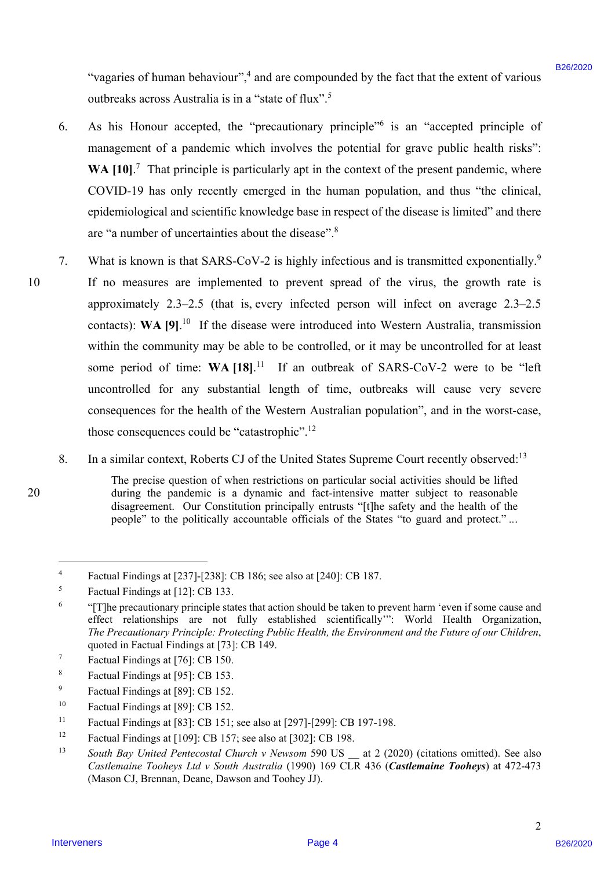"vagaries of human behaviour",<sup>4</sup> and are compounded by the fact that the extent of various outbreaks across Australia is in a "state of flux".<sup>5</sup>

- 6. As his Honour accepted, the "precautionary principle"<sup>6</sup> is an "accepted principle of management of a pandemic which involves the potential for grave public health risks": management of <sup>a</sup> pandemic which involves the potential for grave public health risks": WA [10].<sup>7</sup> That principle is particularly apt in the context of the present pandemic, where COVID-19 has only recently emerged in the human population, and thus "the clinical, COVID-19 has only recently emerged in the human population, and thus "the clinical, epidemiological and scientific knowledge base in respect of the disease is limited" and there epidemiological and scientific knowledge base in respect of the disease is limited" and there are "a number of uncertainties about the disease".<sup>8</sup>
- 7. What is known is that SARS-CoV-2 is highly infectious and is transmitted exponentially.<sup>9</sup> 10 If no measures are implemented to prevent spread of the virus, the growth rate is If no measures are implemented to prevent spread of the virus, the growth rate is approximately 2.3–2.5 (that is, every infected person will infect on average 2.3–2.5 approximately 2.3—2.5 (that is, every infected person will infect on average 2.3—2.5 contacts): WA [9].<sup>10</sup> If the disease were introduced into Western Australia, transmission within the community may be able to be controlled, or it may be uncontrolled for at least within the community may be able to be controlled, or it may be uncontrolled for at least some period of time: WA [18].<sup>11</sup> If an outbreak of SARS-CoV-2 were to be "left uncontrolled for any substantial length of time, outbreaks will cause very severe uncontrolled for any substantial length of time, outbreaks will cause very severe consequences for the health of the Western Australian population", and in the worst-case, those consequences could be "catastrophic".<sup>12</sup> "seguries of human heleavious" i and are compounded by the fact that the extent of various<br>solutions are also as a structure of the "size of the "size of the "size of the "size of the B26/2020 B2<br>(6. As his Howen accepted 10
	- 8. In a similar context, Roberts CJ of the United States Supreme Court recently observed:<sup>13</sup>

20

 $\overline{a}$ 

The precise question of when restrictions on particular social activities should be lifted The precise question of when restrictions on particular social activities should be lifted 20 during the pandemic is a dynamic and fact-intensive matter subject to reasonable during the pandemic is a dynamic and fact-intensive matter subject to reasonable disagreement. Our Constitution principally entrusts "[t]he safety and the health of the disagreement. Our Constitution principally entrusts "[t]he safety and the health of the people" to the politically accountable officials of the States "to guard and protect."...

<sup>4</sup> Factual Findings at [237]-[238]: CB 186; see also at [240]: CB 187. Factual Findings at [237]-[238]: CB 186; see also at [240]: CB 187.

<sup>5</sup> Factual Findings at [12]: CB 133. Factual Findings at [12]: CB 133.

<sup>6</sup> "[T]he precautionary principle states that action should be taken to prevent harm 'even if some cause and "(T]he precautionary principle states that action should be taken to prevent harm 'even if some cause and effect relationships are not fully established scientifically": World Health Organization, *The Precautionary Principle: Protecting Public Health, the Environment and the Future of our Children*, The Precautionary Principle: Protecting Public Health, the Environment and the Future ofour Children, quoted in Factual Findings at [73]: CB 149. quoted in Factual Findings at [73]: CB 149.

<sup>7</sup> Factual Findings at [76]: CB 150. Factual Findings at [76]: CB 150.

<sup>8</sup> Factual Findings at [95]: CB 153. Factual Findings at [95]: CB 153.

<sup>9</sup> Factual Findings at [89]: CB 152. Factual Findings at [89]: CB 152.

<sup>10</sup> Factual Findings at [89]: CB 152. Factual Findings at [89]: CB 152.

<sup>11</sup> Factual Findings at [83]: CB 151; see also at [297]-[299]: CB 197-198. Factual Findings at [83]: CB 151; see also at [297]-[299]: CB 197-198.

<sup>12</sup> Factual Findings at [109]: CB 157; see also at [302]: CB 198. Factual Findings at [109]: CB 157; see also at [302]: CB 198.

<sup>&</sup>lt;sup>13</sup> South Bay United Pentecostal Church v Newsom 590 US at 2 (2020) (citations omitted). See also *Castlemaine Tooheys Ltd v South Australia* (1990) 169 CLR 436 (*Castlemaine Tooheys*) at 472-473 Castlemaine Tooheys Ltd v South Australia (1990) 169 CLR 436 (Castlemaine Tooheys) at 472-473 (Mason CJ, Brennan, Deane, Dawson and Toohey JJ). (Mason CJ, Brennan, Deane, Dawson and Toohey JJ).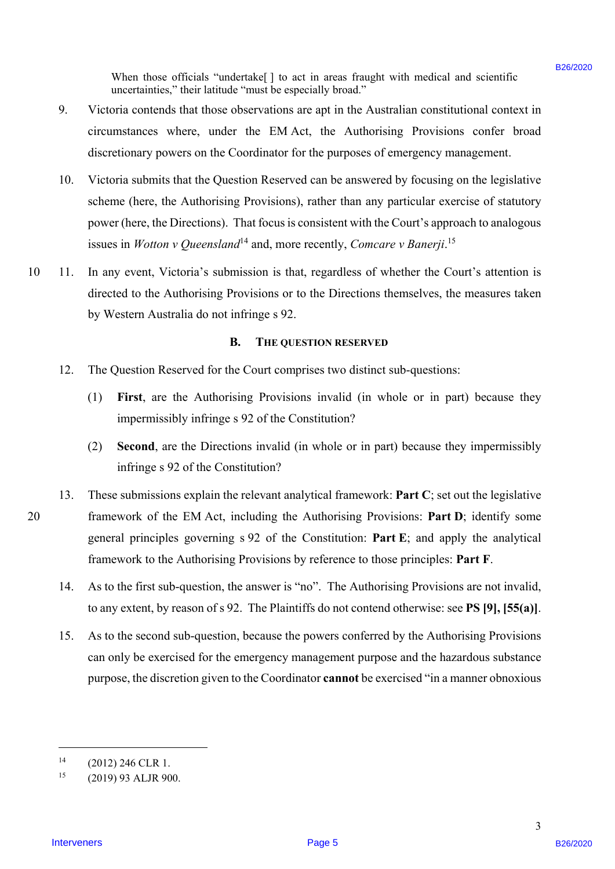When those officials "undertake[] to act in areas fraught with medical and scientific uncertainties," their latitude "must be especially broad." uncertainties," their latitude "must be especially broad."

- 9. Victoria contends that those observations are apt in the Australian constitutional context in Victoria contends that those observations are apt in the Australian constitutional context in circumstances where, under the EM Act, the Authorising Provisions confer broad circumstances where, under the EM Act, the Authorising Provisions confer broad discretionary powers on the Coordinator for the purposes of emergency management. discretionary powers on the Coordinator for the purposes of emergency management.
- 10. Victoria submits that the Question Reserved can be answered by focusing on the legislative Victoria submits that the Question Reserved can be answered by focusing on the legislative scheme (here, the Authorising Provisions), rather than any particular exercise of statutory scheme (here, the Authorising Provisions), rather than any particular exercise of statutory power (here, the Directions). That focus is consistent with the Court's approach to analogous power (here, the Directions). That focus is consistent with the Court's approach to analogous issues in *Wotton v Queensland*<sup>14</sup> and, more recently, *Comcare v Banerji*.<sup>15</sup> 10.
- 10 11. In any event, Victoria's submission is that, regardless of whether the Court's attention is directed to the Authorising Provisions or to the Directions themselves, the measures taken directed to the Authorising Provisions or to the Directions themselves, the measures taken by Western Australia do not infringe s 92. by Western Australia do not infringe <sup>s</sup> 92.  $10 \t 11.$

#### **B. THE QUESTION RESERVED** B. THE QUESTION RESERVED

- 12. The Question Reserved for the Court comprises two distinct sub-questions: 12.
	- (1) **First**, are the Authorising Provisions invalid (in whole or in part) because they (1) First, are the Authorising Provisions invalid (in whole or in part) because they impermissibly infringe s 92 of the Constitution? impermissibly infringe <sup>s</sup> 92 of the Constitution?
	- (2) **Second**, are the Directions invalid (in whole or in part) because they impermissibly (2) Second, are the Directions invalid (in whole or in part) because they impermissiblyinfringe s 92 of the Constitution? infringe <sup>s</sup> 92 of the Constitution?
- 13. These submissions explain the relevant analytical framework: **Part C**; set out the legislative 20 framework of the EM Act, including the Authorising Provisions: **Part D**; identify some framework of the EM Act, including the Authorising Provisions: Part D; identify some general principles governing s 92 of the Constitution: **Part E**; and apply the analytical general principles governing <sup>s</sup> 92 of the Constitution: Part E; and apply the analytical framework to the Authorising Provisions by reference to those principles: **Part F**. framework to the Authorising Provisions by reference to those principles: Part F. When these officials "weaken's (1) to et in case fought with accided and selectific<br>various contents, "for intervene weakend? In each and the distribution of the contents of the contents by the state of the contents are c 13.
	- 14. As to the first sub-question, the answer is "no". The Authorising Provisions are not invalid, As to the first sub-question, the answer is "no". The Authorising Provisions are not invalid, to any extent, by reason of s 92. The Plaintiffs do not contend otherwise: see **PS [9], [55(a)]**. to any extent, by reason of <sup>s</sup> 92. The Plaintiffs do not contend otherwise: see PS [9], [55(a)]. 14.
	- 15. As to the second sub-question, because the powers conferred by the Authorising Provisions can only be exercised for the emergency management purpose and the hazardous substance can only be exercised for the emergency management purpose and the hazardous substancepurpose, the discretion given to the Coordinator **cannot** be exercised "in a manner obnoxious purpose, the discretion given to the Coordinator cannot be exercised "in <sup>a</sup> manner obnoxious 15.

 $\overline{a}$ 

 $^{14}$  (2012) 246 CLR 1.

<sup>15 (2019) 93</sup> ALJR 900. (2019) 93 ALJR 900.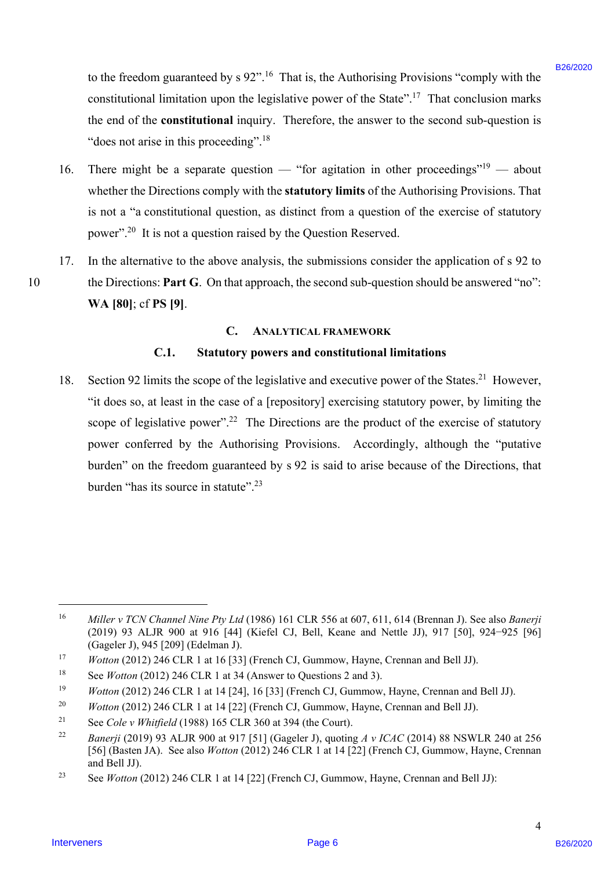to the freedom guaranteed by  $s 92$ ".<sup>16</sup> That is, the Authorising Provisions "comply with the constitutional limitation upon the legislative power of the State".<sup>17</sup> That conclusion marks the end of the **constitutional** inquiry. Therefore, the answer to the second sub-question is the end of the constitutional inquiry. Therefore, the answer to the second sub-question is "does not arise in this proceeding". $18$ 

- 16. There might be a separate question "for agitation in other proceedings"<sup>19</sup> about whether the Directions comply with the **statutory limits** of the Authorising Provisions. That whether the Directions comply with the statutory limits of the Authorising Provisions. That is not a "a constitutional question, as distinct from a question of the exercise of statutory is not <sup>a</sup> "a constitutional question, as distinct from <sup>a</sup> question of the exercise of statutory power".<sup>20</sup> It is not a question raised by the Question Reserved. 16.
- 17. In the alternative to the above analysis, the submissions consider the application of s 92 to In the alternative to the above analysis, the submissions consider the application of <sup>s</sup> 92 to 10 the Directions: **Part G**. On that approach, the second sub-question should be answered "no": **WA [80]**; cf **PS [9]**. WA [80]; cf PS [9]. 17.

#### **C. ANALYTICAL FRAMEWORK** C. ANALYTICAL FRAMEWORK

#### **C.1. Statutory powers and constitutional limitations**  C.1. Statutory powers and constitutional limitations

18. Section 92 limits the scope of the legislative and executive power of the States.<sup>21</sup> However, "it does so, at least in the case of a [repository] exercising statutory power, by limiting the "it does so, at least in the case of a [repository] exercising statutory power, by limiting the scope of legislative power".<sup>22</sup> The Directions are the product of the exercise of statutory power conferred by the Authorising Provisions. Accordingly, although the "putative power conferred by the Authorising Provisions. Accordingly, although the "putative burden" on the freedom guaranteed by s 92 is said to arise because of the Directions, that burden" on the freedom guaranteed by <sup>s</sup> 92 is said to arise because of the Directions, that burden "has its source in statute".<sup>23</sup> In the freedom guaranteed by s 0.2<sup>9</sup>.<sup>16</sup> That is, the Authoring Physicians "comply with the constrained limitation quaranteed hegities power of the State<sup>17</sup>. That conclusions matrix on the automobility the present of S 18.

 $\overline{a}$ 

10

 $\Delta$ 

<sup>16</sup> *Miller v TCN Channel Nine Pty Ltd* (1986) 161 CLR 556 at 607, 611, 614 (Brennan J). See also *Banerji*  Miller v TCN Channel Nine Pty Ltd (1986) <sup>161</sup> CLR 556 at 607, 611, 614 (Brennan J). See also Banerji (2019) 93 ALJR 900 at 916 [44] (Kiefel CJ, Bell, Keane and Nettle JJ), 917 [50], 924−925 [96] (2019) 93 ALJR 900 at 916 [44] (Kiefel CJ, Bell, Keane and Nettle JJ), 917 [50], 924-925 [96] (Gageler J), 945 [209] (Edelman J). (Gageler J), 945 [209] (Edelman J).

<sup>&</sup>lt;sup>17</sup> *Wotton* (2012) 246 CLR 1 at 16 [33] (French CJ, Gummow, Hayne, Crennan and Bell JJ).

<sup>&</sup>lt;sup>18</sup> See *Wotton* (2012) 246 CLR 1 at 34 (Answer to Questions 2 and 3).

<sup>&</sup>lt;sup>19</sup> *Wotton* (2012) 246 CLR 1 at 14 [24], 16 [33] (French CJ, Gummow, Hayne, Crennan and Bell JJ).

<sup>&</sup>lt;sup>20</sup> *Wotton* (2012) 246 CLR 1 at 14 [22] (French CJ, Gummow, Hayne, Crennan and Bell JJ). 20

<sup>21</sup> See *Cole v Whitfield* (1988) 165 CLR 360 at 394 (the Court). See Cole v Whitfield (1988) 165 CLR 360 at 394 (the Court). 21

<sup>&</sup>lt;sup>22</sup> *Banerji* (2019) 93 ALJR 900 at 917 [51] (Gageler J), quoting  $A \, v$  ICAC (2014) 88 NSWLR 240 at 256 [56] (Basten JA). See also *Wotton* (2012) 246 CLR 1 at 14 [22] (French CJ, Gummow, Hayne, Crennan and Bell JJ). and Bell JJ). 22

<sup>23</sup> See *Wotton* (2012) 246 CLR 1 at 14 [22] (French CJ, Gummow, Hayne, Crennan and Bell JJ): See Wotton (2012) 246 CLR 1 at 14 [22] (French CJ, Gummow, Hayne, Crennan and Bell JJ): 23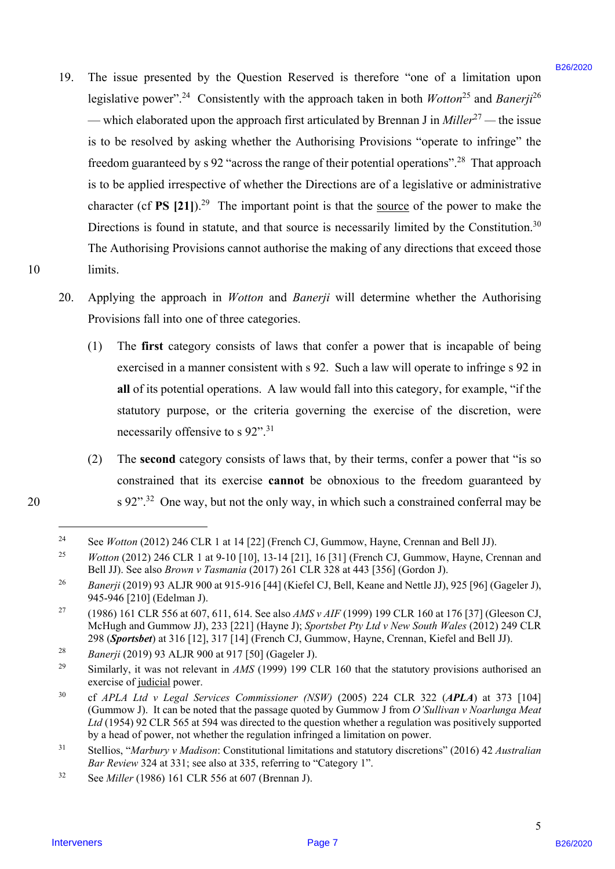- 19. The issue presented by the Question Reserved is therefore "one of a limitation upon The issue presented by the Question Reserved is therefore "one of <sup>a</sup> limitation uponlegislative power".<sup>24</sup> Consistently with the approach taken in both *Wotton*<sup>25</sup> and *Banerji*<sup>26</sup> — which elaborated upon the approach first articulated by Brennan J in *Miller*<sup>27</sup> — the issue is to be resolved by asking whether the Authorising Provisions "operate to infringe" the is to be resolved by asking whether the Authorising Provisions "operate to infringe" the freedom guaranteed by  $s$  92 "across the range of their potential operations".<sup>28</sup> That approach is to be applied irrespective of whether the Directions are of a legislative or administrative is to be applied irrespective of whether the Directions are of a legislative or administrative character (cf PS  $[21]$ ).<sup>29</sup> The important point is that the source of the power to make the Directions is found in statute, and that source is necessarily limited by the Constitution.<sup>30</sup> The Authorising Provisions cannot authorise the making of any directions that exceed those The Authorising Provisions cannot authorise the making of any directions that exceed those 10 limits. limits. 19. The issue presented by the Question Reserved is therefore "note of a firmination uson beginning proposed in the approach interaction ( $\sim$  1002) and  $\sim$  1002) and  $\sim$  1002) and  $\sim$  1002) and  $\sim$  1002) and  $\sim$  100 19.
	- 20. Applying the approach in *Wotton* and *Banerji* will determine whether the Authorising Applying the approach in Wotton and Banerji will determine whether the Authorising Provisions fall into one of three categories. Provisions fall into one of three categories. 20.
		- (1) The **first** category consists of laws that confer a power that is incapable of being (1) The first category consists of laws that confer <sup>a</sup> power that is incapable of being exercised in a manner consistent with s 92. Such a law will operate to infringe s 92 in exercised in a manner consistent with <sup>s</sup> 92. Such <sup>a</sup> law will operate to infringe <sup>s</sup> 92 in all of its potential operations. A law would fall into this category, for example, "if the statutory purpose, or the criteria governing the exercise of the discretion, were statutory purpose, or the criteria governing the exercise of the discretion, were necessarily offensive to s 92".<sup>31</sup> necessarily offensive to <sup>s</sup> 92".3!
- (2) The **second** category consists of laws that, by their terms, confer a power that "is so (2) The second category consists of laws that, by their terms, confer a power that "is so constrained that its exercise **cannot** be obnoxious to the freedom guaranteed by constrained that its exercise cannot be obnoxious to the freedom guaranteed by 20 s  $92$ "<sup>32</sup> One way, but not the only way, in which such a constrained conferral may be

 $\overline{a}$ 

<sup>&</sup>lt;sup>24</sup> See *Wotton* (2012) 246 CLR 1 at 14 [22] (French CJ, Gummow, Hayne, Crennan and Bell JJ). 24

<sup>&</sup>lt;sup>25</sup> *Wotton* (2012) 246 CLR 1 at 9-10 [10], 13-14 [21], 16 [31] (French CJ, Gummow, Hayne, Crennan and Bell JJ). See also *Brown v Tasmania* (2017) 261 CLR 328 at 443 [356] (Gordon J). Bell JJ). See also Brown v Tasmania (2017) 261 CLR 328 at 443 [356] (Gordon J). 25

<sup>26</sup> *Banerji* (2019) 93 ALJR 900 at 915-916 [44] (Kiefel CJ, Bell, Keane and Nettle JJ), 925 [96] (Gageler J), Banerji (2019) 93 ALJR 900 at 915-916 [44] (Kiefel CJ, Bell, Keane and Nettle JJ), 925 [96] (Gageler J), 945-946 [210] (Edelman J). 945-946 [210] (Edelman J). 26

<sup>&</sup>lt;sup>27</sup> (1986) 161 CLR 556 at 607, 611, 614. See also *AMS v AIF* (1999) 199 CLR 160 at 176 [37] (Gleeson CJ, McHugh and Gummow JJ), 233 [221] (Hayne J); *Sportsbet Pty Ltd v New South Wales* (2012) 249 CLR McHugh and Gummow JJ), 233 [221] (Hayne J); Sportsbet Pty Ltd v New South Wales (2012) 249 CLR298 (*Sportsbet*) at 316 [12], 317 [14] (French CJ, Gummow, Hayne, Crennan, Kiefel and Bell JJ). 298 (Sportsbet) at 316 [12], 317 [14] (French CJ, Gummow, Hayne, Crennan, Kiefel and Bell JJ). 27

<sup>28</sup> *Banerji* (2019) 93 ALJR 900 at 917 [50] (Gageler J). Banerji (2019) 93 ALJR 900 at 917 [50] (Gageler J). 28

<sup>&</sup>lt;sup>29</sup> Similarly, it was not relevant in  $AMS$  (1999) 199 CLR 160 that the statutory provisions authorised an exercise of judicial power. exercise of judicial power. 29

<sup>&</sup>lt;sup>30</sup> cf *APLA Ltd v Legal Services Commissioner (NSW)* (2005) 224 CLR 322 (A**PLA**) at 373 [104] (Gummow J). It can be noted that the passage quoted by Gummow J from *O'Sullivan v Noarlunga Meat*  (Gummow J). It can be noted that the passage quoted by Gummow <sup>J</sup> from O'Sullivan v Noarlunga Meat Ltd (1954) 92 CLR 565 at 594 was directed to the question whether a regulation was positively supported by a head of power, not whether the regulation infringed a limitation on power. by a head of power, not whether the regulation infringed a limitation on power. 30

 $31$  Stellios, "Marbury v Madison: Constitutional limitations and statutory discretions" (2016) 42 Australian *Bar Review* 324 at 331; see also at 335, referring to "Category 1". Bar Review 324 at 331; see also at 335, referring to "Category 1". 31

<sup>32</sup> See *Miller* (1986) 161 CLR 556 at 607 (Brennan J). See Miller (1986) 161 CLR 556 at 607 (Brennan J). 32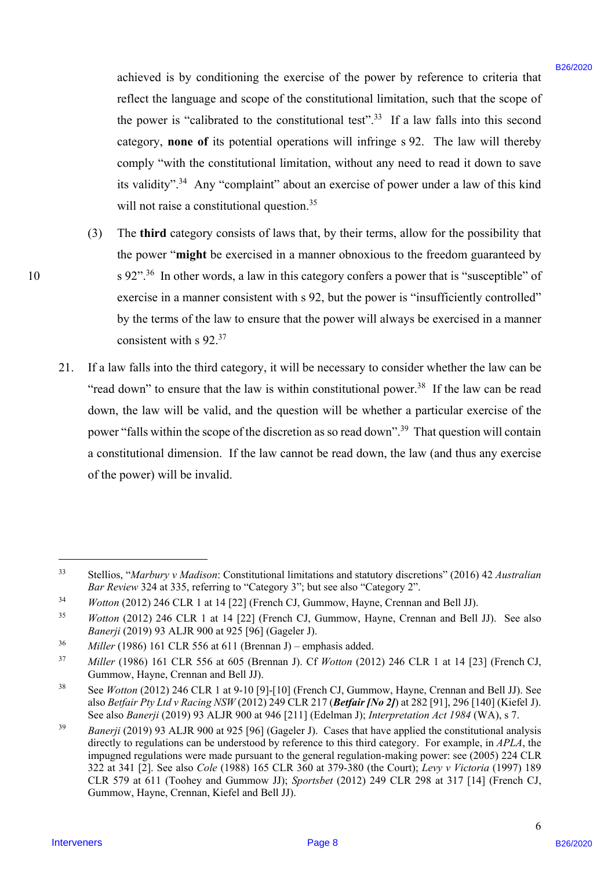achieved is by conditioning the exercise of the power by reference to criteria that achieved is by conditioning the exercise of the power by reference to criteria thatreflect the language and scope of the constitutional limitation, such that the scope of the power is "calibrated to the constitutional test".<sup>33</sup> If a law falls into this second category, **none of** its potential operations will infringe s 92. The law will thereby category, none of its potential operations will infringe <sup>s</sup> 92. The law will thereby comply "with the constitutional limitation, without any need to read it down to save comply "with the constitutional limitation, without any need to read it down to save its validity".<sup>34</sup> Any "complaint" about an exercise of power under a law of this kind will not raise a constitutional question. $35$ ashiered is by conditioning the excerts of the prover by reference to critical the bag and set of the longing and set of the consistent based of the consistent based of the consistent based of the consistent based of the

- (3) The **third** category consists of laws that, by their terms, allow for the possibility that (3) The third category consists of laws that, by their terms, allow for the possibility that the power "**might** be exercised in a manner obnoxious to the freedom guaranteed by the power "might be exercised in <sup>a</sup> manner obnoxious to the freedom guaranteed by 10 s 92".<sup>36</sup> In other words, a law in this category confers a power that is "susceptible" of exercise in a manner consistent with s 92, but the power is "insufficiently controlled" by the terms of the law to ensure that the power will always be exercised in a manner by the terms of the law to ensure that the power will always be exercised in <sup>a</sup> manner consistent with s 92.<sup>37</sup>
	- 21. If a law falls into the third category, it will be necessary to consider whether the law can be If <sup>a</sup> law falls into the third category, it will be necessary to consider whether the law can be "read down" to ensure that the law is within constitutional power.<sup>38</sup> If the law can be read down, the law will be valid, and the question will be whether a particular exercise of the down, the law will be valid, and the question will be whether a particular exercise of the power "falls within the scope of the discretion as so read down".<sup>39</sup> That question will contain a constitutional dimension. If the law cannot be read down, the law (and thus any exercise <sup>a</sup> constitutional dimension. If the law cannot be read down, the law (and thus any exercise of the power) will be invalid. of the power) will be invalid. 21.

 $\overline{a}$ 

 $^{33}$  Stellios, "Marbury v Madison: Constitutional limitations and statutory discretions" (2016) 42 Australian *Bar Review* 324 at 335, referring to "Category 3"; but see also "Category 2". Bar Review 324 at 335, referring to "Category 3"; but see also "Category 2". 33

<sup>34</sup> *Wotton* (2012) 246 CLR 1 at 14 [22] (French CJ, Gummow, Hayne, Crennan and Bell JJ). Wotton (2012) 246 CLR 1 at 14 [22] (French CJ, Gummow, Hayne, Crennan and Bell JJ). 34

<sup>35</sup> *Wotton* (2012) 246 CLR 1 at 14 [22] (French CJ, Gummow, Hayne, Crennan and Bell JJ). See also Wotton (2012) 246 CLR | at 14 [22] (French CJ, Gummow, Hayne, Crennan and Bell JJ). See also *Banerji* (2019) 93 ALJR 900 at 925 [96] (Gageler J). Banerji (2019) 93 ALJR 900 at 925 [96] (Gageler J). 35

 $36$  *Miller* (1986) 161 CLR 556 at 611 (Brennan J) – emphasis added. 36

<sup>37</sup> *Miller* (1986) 161 CLR 556 at 605 (Brennan J). Cf *Wotton* (2012) 246 CLR 1 at 14 [23] (French CJ, Miller (1986) <sup>161</sup> CLR 556 at 605 (Brennan J). Cf Wotton (2012) 246 CLR 1 at 14 [23] (French CJ, Gummow, Hayne, Crennan and Bell JJ). Gummow, Hayne, Crennan and Bell JJ). 37

<sup>38</sup> See *Wotton* (2012) 246 CLR 1 at 9-10 [9]-[10] (French CJ, Gummow, Hayne, Crennan and Bell JJ). See See Wotton (2012) 246 CLR 1 at 9-10 [9]-[10] (French CJ, Gummow, Hayne, Crennan and Bell JJ). See also *Betfair Pty Ltd v Racing NSW* (2012) 249 CLR 217 (*Betfair [No 2]*) at 282 [91], 296 [140] (Kiefel J). also Betfair Pty Ltd v Racing NSW (2012) 249 CLR 217 (Betfair [No 2]) at 282 [91], 296 [140] (Kiefel J).See also *Banerji* (2019) 93 ALJR 900 at 946 [211] (Edelman J); *Interpretation Act 1984* (WA), s 7. See also Banerji (2019) 93 ALJR 900 at 946 [211] (Edelman J); Interpretation Act 1984 (WA), <sup>s</sup> 7. 38

<sup>39</sup> *Banerji* (2019) 93 ALJR 900 at 925 [96] (Gageler J). Cases that have applied the constitutional analysis Banerji (2019) 93 ALJR 900 at 925 [96] (Gageler J). Cases that have applied the constitutional analysis directly to regulations can be understood by reference to this third category. For example, in *APLA*, the directly to regulations can be understood by reference to this third category. For example, in APLA, theimpugned regulations were made pursuant to the general regulation-making power: see (2005) 224 CLR impugned regulations were made pursuant to the general regulation-making power: see (2005) 224 CLR 322 at 341 [2]. See also *Cole* (1988) 165 CLR 360 at 379-380 (the Court); *Levy v Victoria* (1997) 189 322 at 341 [2]. See also Cole (1988) 165 CLR 360 at 379-380 (the Court); Levy v Victoria (1997) 189 CLR 579 at 611 (Toohey and Gummow JJ); *Sportsbet* (2012) 249 CLR 298 at 317 [14] (French CJ, CLR 579 at 611 (Toohey and Gummow JJ); Sportsbet (2012) 249 CLR 298 at 317 [14] (French CJ, Gummow, Hayne, Crennan, Kiefel and Bell JJ). Gummow, Hayne, Crennan, Kiefel and Bell JJ). 39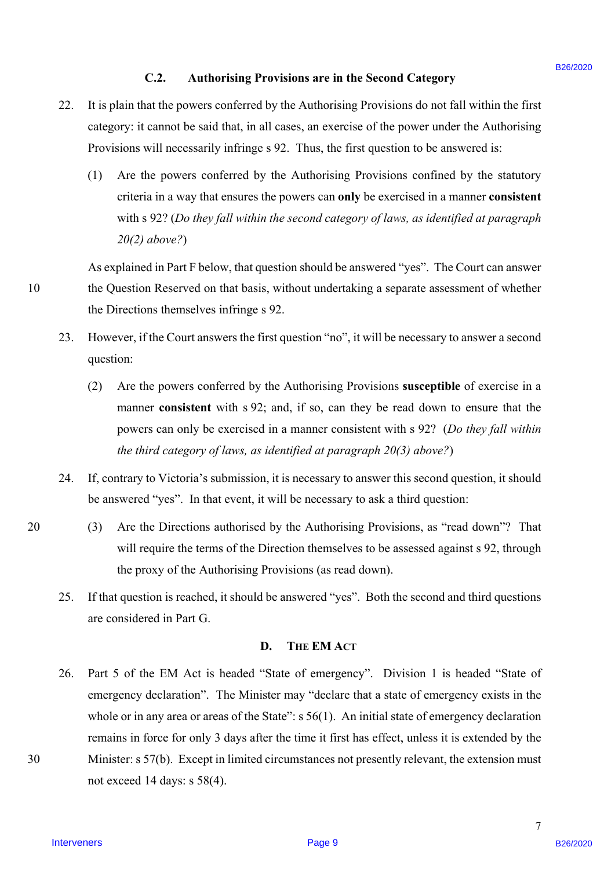### **C.2. Authorising Provisions are in the Second Category**  C.2.Authorising Provisions are in the Second Category

- 22. It is plain that the powers conferred by the Authorising Provisions do not fall within the first It is plain that the powers conferred by the Authorising Provisions do not fall within the first category: it cannot be said that, in all cases, an exercise of the power under the Authorising category: it cannot be said that, in all cases, an exercise of the power under the Authorising Provisions will necessarily infringe s 92. Thus, the first question to be answered is: Provisions will necessarily infringe <sup>s</sup> 92. Thus, the first question to be answered is: 22.
	- (1) Are the powers conferred by the Authorising Provisions confined by the statutory (1) Are the powers conferred by the Authorising Provisions confined by the statutory criteria in a way that ensures the powers can **only** be exercised in a manner **consistent** criteria in a way that ensures the powers can only be exercised in a manner consistent with s 92? (*Do they fall within the second category of laws, as identified at paragraph*  with <sup>s</sup> 92? (Do theyfall within the second category oflaws, as identified at paragraph *20(2) above?*) 20(2) above?)

As explained in Part F below, that question should be answered "yes". The Court can answer As explained in Part F below, that question should be answered "yes". The Court can answer 10 the Question Reserved on that basis, without undertaking a separate assessment of whether the Question Reserved on that basis, without undertaking <sup>a</sup> separate assessment of whether the Directions themselves infringe s 92. the Directions themselves infringe <sup>s</sup> 92.

- 23. However, if the Court answers the first question "no", it will be necessary to answer a second However, ifthe Court answers the first question "no", it will benecessary to answer <sup>a</sup> second question: question: 23.
	- (2) Are the powers conferred by the Authorising Provisions **susceptible** of exercise in a (2) Are the powers conferred by the Authorising Provisions susceptible of exercise in <sup>a</sup> manner **consistent** with s 92; and, if so, can they be read down to ensure that the manner consistent with <sup>s</sup> 92; and, if so, can they be read down to ensure that the powers can only be exercised in a manner consistent with s 92? (*Do they fall within*  powers can only be exercised in <sup>a</sup> manner consistent with <sup>s</sup> 92? (Do they fall within *the third category of laws, as identified at paragraph 20(3) above?*) the third category of laws, as identified at paragraph 20(3) above?)
- 24. If, contrary to Victoria's submission, it is necessary to answer this second question, it should If, contrary to Victoria's submission, it is necessary to answer this second question, it should be answered "yes". In that event, it will be necessary to ask a third question: be answered "yes". In that event, it will be necessary to ask <sup>a</sup> third question: 24.
- 20 (3) Are the Directions authorised by the Authorising Provisions, as "read down"? That (3) Are the Directions authorised by the Authorising Provisions, as "read down'? That will require the terms of the Direction themselves to be assessed against s 92, through will require the terms of the Direction themselves to be assessed against <sup>s</sup> 92, through the proxy of the Authorising Provisions (as read down). the proxy of the Authorising Provisions (as read down).
	- 25. If that question is reached, it should be answered "yes". Both the second and third questions are considered in Part G. are considered in Part G. 25.

### **D. THE EM ACT** D. THEEM ACT

26. Part 5 of the EM Act is headed "State of emergency". Division 1 is headed "State of Part <sup>5</sup> of the EM Act is headed "State of emergency". Division 1 is headed "State of emergency declaration". The Minister may "declare that a state of emergency exists in the whole or in any area or areas of the State":  $s$  56(1). An initial state of emergency declaration remains in force for only 3 days after the time it first has effect, unless it is extended by the remains in force for only <sup>3</sup> days after the time it first has effect, unless it is extended by the 30 Minister: s 57(b). Except in limited circumstances not presently relevant, the extension must Minister: <sup>s</sup> 57(b). Except in limited circumstances not presently relevant, the extension must not exceed 14 days: s 58(4). not exceed 14 days: <sup>s</sup> 58(4). C.2. Authorising Previshins are in the Second Category<br>
22. It is plan but be power and real by by Authorising Previsions do on the line of the state of the state of the form of the form of the state of the power and the 26.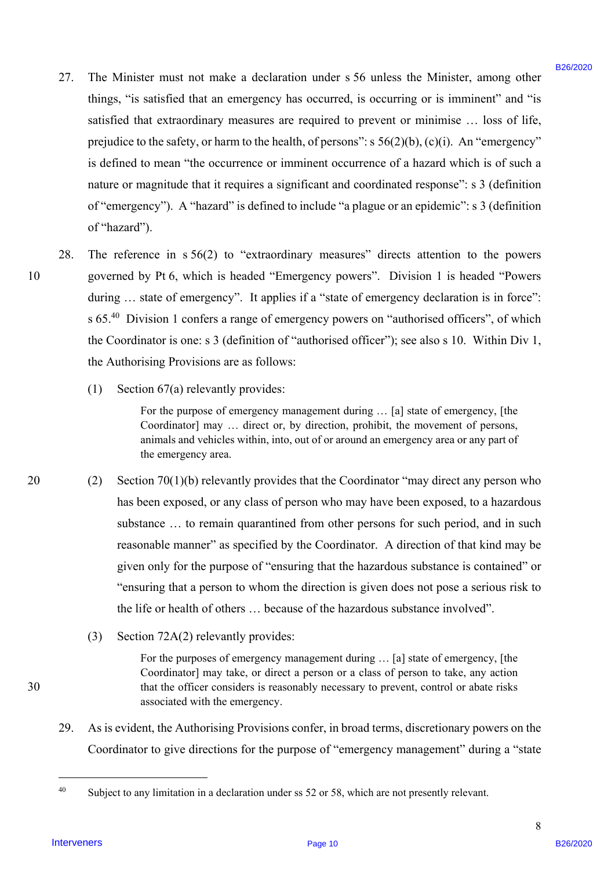- 27. The Minister must not make a declaration under s 56 unless the Minister, among other The Minister must not make <sup>a</sup> declaration under <sup>s</sup> 56 unless the Minister, among other things, "is satisfied that an emergency has occurred, is occurring or is imminent" and "is things, "is satisfied that an emergency has occurred, is occurring or is imminent" and "is satisfied that extraordinary measures are required to prevent or minimise ... loss of life, prejudice to the safety, or harm to the health, of persons": s 56(2)(b), (c)(i). An "emergency" prejudice to the safety, or harm to the health, of persons": <sup>s</sup> 56(2)(b), (c)(i). An "emergency" is defined to mean "the occurrence or imminent occurrence of a hazard which is of such a is defined to mean "the occurrence or imminent occurrence of <sup>a</sup> hazard which is of such <sup>a</sup> nature or magnitude that it requires a significant and coordinated response": s 3 (definition nature or magnitude that it requires a significant and coordinated response": <sup>s</sup> <sup>3</sup> (definition of "emergency"). A "hazard" is defined to include "a plague or an epidemic": s 3 (definition of "emergency"). A "hazard" is defined to include "a plague or an epidemic": <sup>s</sup> <sup>3</sup> (definitionof "hazard"). of "hazard"'). 22. The Minister must not make a decleration under 5.86 unless the Minister, arrong other<br>
thriggs, "is stridded that an anorange tyto eccentral de present per minister ma<sup>21</sup> stridded that a strustnessing measures are se 27.
- 28. The reference in s 56(2) to "extraordinary measures" directs attention to the powers The reference in <sup>s</sup> 56(2) to "extraordinary measures" directs attention to the powers 10 governed by Pt 6, which is headed "Emergency powers". Division 1 is headed "Powers governed by Pt 6, which is headed "Emergency powers". Division <sup>1</sup> is headed "Powers during ... state of emergency". It applies if a "state of emergency declaration is in force": s 65. $40$  Division 1 confers a range of emergency powers on "authorised officers", of which the Coordinator is one: s 3 (definition of "authorised officer"); see also s 10. Within Div 1, the Coordinator is one: <sup>s</sup> <sup>3</sup> (definition of "authorised officer'); see also <sup>s</sup> 10. Within Div 1, the Authorising Provisions are as follows: the Authorising Provisions are as follows: 10 28.
	- (1) Section 67(a) relevantly provides: (1) Section 67(a) relevantly provides:

For the purpose of emergency management during … [a] state of emergency, [the For the purpose of emergency management during ... [a] state of emergency, [the Coordinator] may … direct or, by direction, prohibit, the movement of persons, Coordinator] may ... direct or, by direction, prohibit, the movement of persons, animals and vehicles within, into, out of or around an emergency area or any part of the emergency area. the emergency area.

- 20 (2) Section 70(1)(b) relevantly provides that the Coordinator "may direct any person who (2) Section 70(1)(b) relevantly provides that the Coordinator "may direct any person who has been exposed, or any class of person who may have been exposed, to a hazardous has been exposed, or any class of person who may have been exposed, to a hazardous substance ... to remain quarantined from other persons for such period, and in such reasonable manner" as specified by the Coordinator. A direction of that kind may be reasonable manner" as specified by the Coordinator. A direction of that kind may be given only for the purpose of "ensuring that the hazardous substance is contained" or given only for the purpose of "ensuring that the hazardous substance is contained" or "ensuring that a person to whom the direction is given does not pose a serious risk to "ensuring that <sup>a</sup> person to whom the direction is given does not posea serious risk to the life or health of others … because of the hazardous substance involved". the life or health of others ... because of the hazardous substance involved".
	- (3) Section 72A(2) relevantly provides: (3) Section 72A(2) relevantly provides:

For the purposes of emergency management during … [a] state of emergency, [the For the purposes of emergency management during ... [a] state of emergency, [the Coordinator] may take, or direct a person or a class of person to take, any action Coordinator] may take, or direct a person or a class of person to take, any action 30 that the officer considers is reasonably necessary to prevent, control or abate risks that the officer considers is reasonably necessary to prevent, control or abate risks associated with the emergency. associated with the emergency.

29. As is evident, the Authorising Provisions confer, in broad terms, discretionary powers on the Coordinator to give directions for the purpose of "emergency management" during a "state Coordinator to give directions for the purpose of "emergency management" during <sup>a</sup> "state 29.

30

 $\overline{a}$ 

<sup>&</sup>lt;sup>40</sup> Subject to any limitation in a declaration under ss 52 or 58, which are not presently relevant.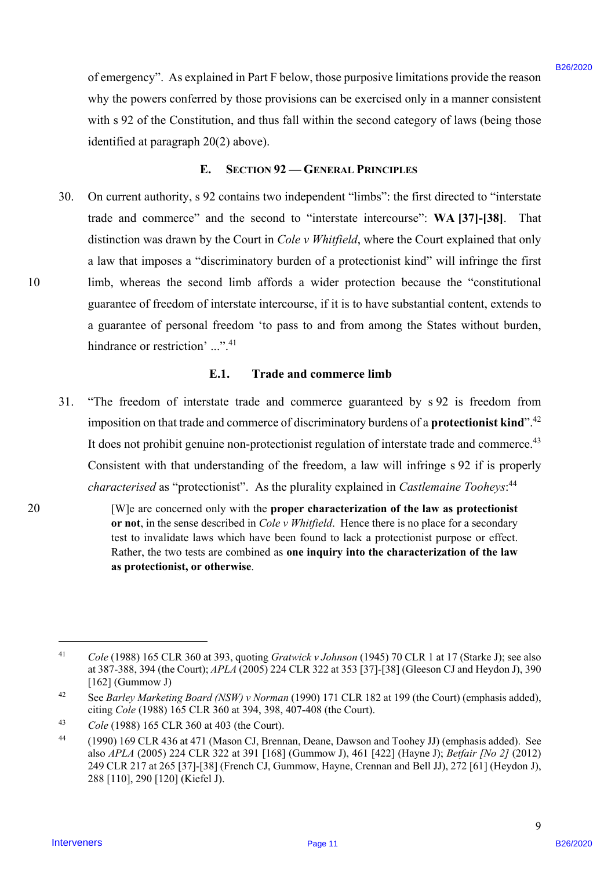of emergency". As explained in Part F below, those purposive limitations provide the reason of emergency". As explained in Part F below, those purposive limitations provide the reason why the powers conferred by those provisions can be exercised only in a manner consistent why the powers conferred by those provisions can be exercised only in <sup>a</sup> manner consistent with s 92 of the Constitution, and thus fall within the second category of laws (being those with <sup>s</sup> 92 of the Constitution, and thus fall within the second category of laws (being those identified at paragraph 20(2) above). identified at paragraph 20(2) above).

### **E. SECTION 92 — GENERAL PRINCIPLES** E. SECTION 92 — GENERAL PRINCIPLES

30. On current authority, s 92 contains two independent "limbs": the first directed to "interstate On current authority, <sup>s</sup> 92 contains two independent "limbs": the first directed to "interstate trade and commerce" and the second to "interstate intercourse": **WA [37]-[38]**. That trade and commerce" and the second to "interstate intercourse": WA [37]-[38]. That distinction was drawn by the Court in *Cole v Whitfield*, where the Court explained that only distinction was drawn by the Court in Cole v Whitfield, where the Court explained that only a law that imposes a "discriminatory burden of a protectionist kind" will infringe the first a law that imposes <sup>a</sup> "discriminatory burden of a protectionist kind" will infringe the first 10 limb, whereas the second limb affords a wider protection because the "constitutional limb, whereas the second limb affords <sup>a</sup> wider protection because the "constitutional guarantee of freedom of interstate intercourse, if it is to have substantial content, extends to guarantee of freedom of interstate intercourse, if it is to have substantial content, extends to a guarantee of personal freedom 'to pass to and from among the States without burden, a guarantee of personal freedom 'to pass to and from among the States without burden, hindrance or restriction' ...".<sup>41</sup> of energy-sey". As explained in Part F below, these garpeners limitations provide the reason of the powers continues with a part of energy of the system of the part of the part of the part of the part of the system of the 30.

#### **E.1. Trade and commerce limb**  E.1. Trade and commerce limb

- 31. "The freedom of interstate trade and commerce guaranteed by s 92 is freedom from "The freedom of interstate trade and commerce guaranteed by <sup>s</sup> 92 is freedom from imposition on that trade and commerce of discriminatory burdens of a **protectionist kind**".<sup>42</sup> It does not prohibit genuine non-protectionist regulation of interstate trade and commerce. $^{43}$ Consistent with that understanding of the freedom, a law will infringe s 92 if is properly Consistent with that understanding of the freedom, <sup>a</sup> law will infringe <sup>s</sup> <sup>92</sup> if is properly characterised as "protectionist". As the plurality explained in *Castlemaine Tooheys*:<sup>44</sup> 31.
- 20 [W]e are concerned only with the **proper characterization of the law as protectionist**  [W]e are concerned only with the proper characterization of the law as protectionist or not, in the sense described in *Cole v Whitfield*. Hence there is no place for a secondary test to invalidate laws which have been found to lack a protectionist purpose or effect. test to invalidate laws which have been found to lack a protectionist purpose or effect. Rather, the two tests are combined as **one inquiry into the characterization of the law**  Rather, the two tests are combined as one inquiry into the characterization of the law **as protectionist, or otherwise**. as protectionist, or otherwise. 20

10

 $\overline{a}$ 

<sup>&</sup>lt;sup>41</sup> Cole (1988) 165 CLR 360 at 393, quoting Gratwick v Johnson (1945) 70 CLR 1 at 17 (Starke J); see also at 387-388, 394 (the Court); *APLA* (2005) 224 CLR 322 at 353 [37]-[38] (Gleeson CJ and Heydon J), 390 at 387-388, 394 (the Court); APLA (2005) 224 CLR 322 at 353 [37]-[38] (Gleeson CJ and Heydon J), 390 [162] (Gummow J) [162] (Gummow J) 41

<sup>42</sup> See *Barley Marketing Board (NSW) v Norman* (1990) 171 CLR 182 at 199 (the Court) (emphasis added), See Barley Marketing Board (NSW) v Norman (1990) 171 CLR 182 at 199 (the Court) (emphasis added),citing *Cole* (1988) 165 CLR 360 at 394, 398, 407-408 (the Court). citing Cole (1988) 165 CLR 360 at 394, 398, 407-408 (the Court). 42

<sup>43</sup> *Cole* (1988) 165 CLR 360 at 403 (the Court). Cole (1988) 165 CLR 360 at 403 (the Court). 43

<sup>44 (1990) 169</sup> CLR 436 at 471 (Mason CJ, Brennan, Deane, Dawson and Toohey JJ) (emphasis added). See (1990) 169 CLR 436 at 471 (Mason CJ, Brennan, Deane, Dawson and Toohey JJ) (emphasis added). See also *APLA* (2005) 224 CLR 322 at 391 [168] (Gummow J), 461 [422] (Hayne J); *Betfair [No 2]* (2012) also APLA (2005) 224 CLR 322 at 391 [168] (Gummow J), 461 [422] (Hayne J); Betfair [No 2] (2012) 249 CLR 217 at 265 [37]-[38] (French CJ, Gummow, Hayne, Crennan and Bell JJ), 272 [61] (Heydon J), 249 CLR 217 at 265 [37]-[38] (French CJ, Gummow, Hayne, Crennan and Bell JJ), 272 [61] (Heydon J), 288 [110], 290 [120] (Kiefel J). 288 [110], 290 [120] (Kiefel J). 44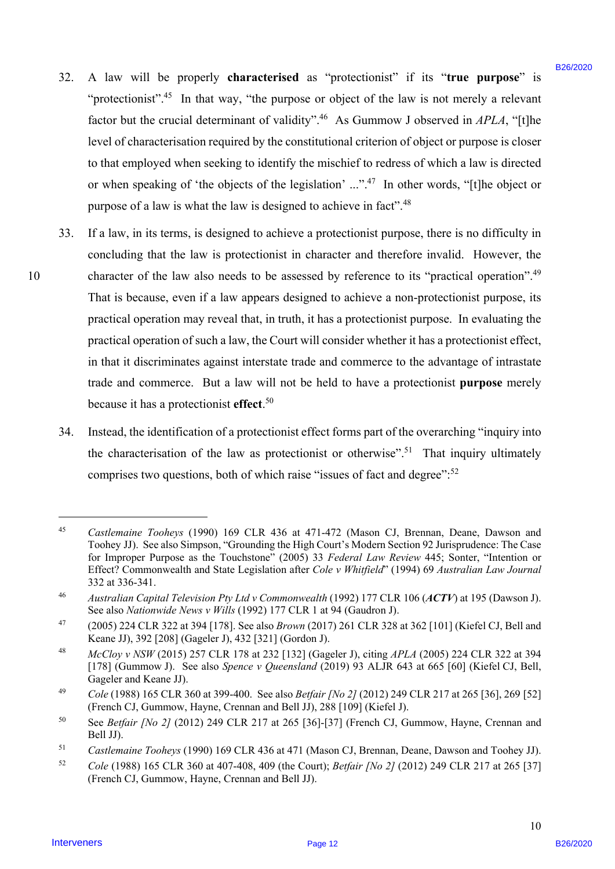- 32. A law will be properly **characterised** as "protectionist" if its "**true purpose**" is A law will be properly characterised as "protectionist" if its "true purpose" is "protectionist".<sup>45</sup> In that way, "the purpose or object of the law is not merely a relevant factor but the crucial determinant of validity".<sup>46</sup> As Gummow J observed in *APLA*, "[t]he level of characterisation required by the constitutional criterion of object or purpose is closer level of characterisation required by the constitutional criterion of object or purpose is closer to that employed when seeking to identify the mischief to redress of which a law is directed or when speaking of 'the objects of the legislation' ...".<sup>47</sup> In other words, "[t]he object or purpose of a law is what the law is designed to achieve in fact".<sup>48</sup> 32.
- 33. If a law, in its terms, is designed to achieve a protectionist purpose, there is no difficulty in If <sup>a</sup> law, in its terms, is designed to achieve <sup>a</sup> protectionist purpose, there is no difficulty in concluding that the law is protectionist in character and therefore invalid. However, the concluding that the law is protectionist in character and therefore invalid. However, the 10 character of the law also needs to be assessed by reference to its "practical operation".<sup>49</sup> That is because, even if a law appears designed to achieve a non-protectionist purpose, its That is because, even if <sup>a</sup> law appears designed to achieve <sup>a</sup> non-protectionist purpose, its practical operation may reveal that, in truth, it has a protectionist purpose. In evaluating the practical operation may reveal that, in truth, it has <sup>a</sup> protectionist purpose. In evaluating the practical operation of such a law, the Court will consider whether it has a protectionist effect, practical operation of such a law, the Court will consider whether it has <sup>a</sup> protectionist effect, in that it discriminates against interstate trade and commerce to the advantage of intrastate in that it discriminates against interstate trade and commerce to the advantage of intrastate trade and commerce. But a law will not be held to have a protectionist **purpose** merely trade and commerce. But a law will not be held to have <sup>a</sup> protectionist purpose merely because it has a protectionist **effect**. 50 because it has aprotectionist effect.°° 32. A law will be pusedly characterised as "proactionist" if is, "true purpose" is "welcomented " procession"." In this way, "the purpose or object of the law is not method and the set of the set of method of the set of t 33.
	- 34. Instead, the identification of a protectionist effect forms part of the overarching "inquiry into Instead, the identification of <sup>a</sup> protectionist effect forms part of the overarching "inquiry into the characterisation of the law as protectionist or otherwise".<sup>51</sup> That inquiry ultimately comprises two questions, both of which raise "issues of fact and degree": $52$ 34.

 $\overline{a}$ 

<sup>45</sup> *Castlemaine Tooheys* (1990) 169 CLR 436 at 471-472 (Mason CJ, Brennan, Deane, Dawson and Castlemaine Tooheys (1990) 169 CLR 436 at 471-472 (Mason CJ, Brennan, Deane, Dawson and Toohey JJ). See also Simpson, "Grounding the High Court's Modern Section 92 Jurisprudence: The Case for Improper Purpose as the Touchstone" (2005) 33 *Federal Law Review* 445; Sonter, "Intention or for Improper Purpose as the Touchstone" (2005) 33 Federal Law Review 445; Sonter, "Intention or Effect? Commonwealth and State Legislation after *Cole v Whitfield*" (1994) 69 *Australian Law Journal*  Effect? Commonwealth and State Legislation after Cole v Whitfield' (1994) 69 Australian Law Journal 332 at 336-341. 332 at 336-341. 45

<sup>46</sup> *Australian Capital Television Pty Ltd v Commonwealth* (1992) 177 CLR 106 (*ACTV*) at 195 (Dawson J). Australian Capital Television Pty Ltd v Commonwealth (1992) 177 CLR 106 (ACTV) at 195 (Dawson J).See also *Nationwide News v Wills* (1992) 177 CLR 1 at 94 (Gaudron J). See also Nationwide News v Wills (1992) 177 CLR 1 at 94 (Gaudron J). 46

 $^{47}$  (2005) 224 CLR 322 at 394 [178]. See also *Brown* (2017) 261 CLR 328 at 362 [101] (Kiefel CJ, Bell and Keane JJ), 392 [208] (Gageler J), 432 [321] (Gordon J). Keane JJ), 392 [208] (Gageler J), 432 [321] (Gordon J). 47

<sup>48</sup> *McCloy v NSW* (2015) 257 CLR 178 at 232 [132] (Gageler J), citing *APLA* (2005) 224 CLR 322 at 394 McCloy v NSW (2015) 257 CLR 178 at 232 [132] (Gageler J), citing APLA (2005) 224 CLR 322 at 394 [178] (Gummow J). See also *Spence v Queensland* (2019) 93 ALJR 643 at 665 [60] (Kiefel CJ, Bell, [178] (Gummow J). See also Spence v Queensland (2019) 93 ALJR 643 at 665 [60] (Kiefel CJ, Bell, Gageler and Keane JJ). Gageler and Keane JJ). 48

<sup>&</sup>lt;sup>49</sup> *Cole* (1988) 165 CLR 360 at 399-400. See also *Betfair [No 2]* (2012) 249 CLR 217 at 265 [36], 269 [52] (French CJ, Gummow, Hayne, Crennan and Bell JJ), 288 [109] (Kiefel J). (French CJ, Gummow, Hayne, Crennan and Bell JJ), 288 [109] (Kiefel J). 49

<sup>50</sup> See *Betfair [No 2]* (2012) 249 CLR 217 at 265 [36]-[37] (French CJ, Gummow, Hayne, Crennan and See Betfair [No 2] (2012) 249 CLR 217 at 265 [36]-[37] (French CJ, Gummow, Hayne, Crennan and Bell JJ). Bell JJ). 50

<sup>51</sup> *Castlemaine Tooheys* (1990) 169 CLR 436 at 471 (Mason CJ, Brennan, Deane, Dawson and Toohey JJ). Castlemaine Tooheys (1990) 169 CLR 436 at 471 (Mason CJ, Brennan, Deane, Dawson and Toohey JJ). 51

<sup>52</sup> *Cole* (1988) 165 CLR 360 at 407-408, 409 (the Court); *Betfair [No 2]* (2012) 249 CLR 217 at 265 [37] Cole (1988) 165 CLR 360 at 407-408, 409 (the Court); Betfair [No 2] (2012) 249 CLR 217 at 265 [37] (French CJ, Gummow, Hayne, Crennan and Bell JJ). (French CJ, Gummow, Hayne, Crennan and Bell JJ). 52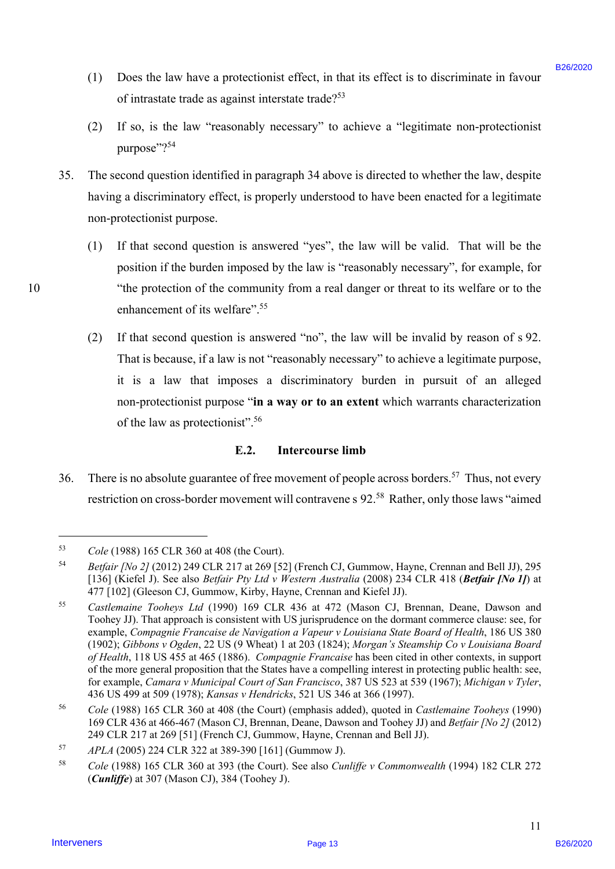- (1) Does the law have a protectionist effect, in that its effect is to discriminate in favour (1) Does the law have <sup>a</sup> protectionist effect, in that its effect is to discriminate in favour of intrastate trade as against interstate trade?<sup>53</sup>
- (2) If so, is the law "reasonably necessary" to achieve a "legitimate non-protectionist (2) If so, is the law "reasonably necessary" to achieve <sup>a</sup> "legitimate non-protectionist purpose"?<sup>54</sup>
- 35. The second question identified in paragraph 34 above is directed to whether the law, despite The second question identified in paragraph 34 above is directed to whether the law, despite having a discriminatory effect, is properly understood to have been enacted for a legitimate having a discriminatory effect, is properly understood to have been enacted for <sup>a</sup> legitimate non-protectionist purpose. non-protectionist purpose. 35.
- (1) If that second question is answered "yes", the law will be valid. That will be the (1) If that second question is answered "yes", the law will be valid. That will be the position if the burden imposed by the law is "reasonably necessary", for example, for 10 "the protection of the community from a real danger or threat to its welfare or to the "the protection of the community from <sup>a</sup> real danger or threat to its welfare or to the enhancement of its welfare".<sup>55</sup>
	- (2) If that second question is answered "no", the law will be invalid by reason of s 92. (2) If that second question is answered "no", the law will be invalid by reason of <sup>s</sup> 92. That is because, if a law is not "reasonably necessary" to achieve a legitimate purpose, That is because, if <sup>a</sup> law is not "reasonably necessary" to achieve <sup>a</sup> legitimate purpose, it is a law that imposes a discriminatory burden in pursuit of an alleged it is <sup>a</sup> law that imposes <sup>a</sup> discriminatory burden in pursuit of an alleged non-protectionist purpose "**in a way or to an extent** which warrants characterization non-protectionist purpose "in a way or to an extent which warrants characterization of the law as protectionist". $56$

### E.2. Intercourse limb

36. There is no absolute guarantee of free movement of people across borders.<sup>57</sup> Thus, not every restriction on cross-border movement will contravene s 92.<sup>58</sup> Rather, only those laws "aimed 36.

 $\overline{a}$ 

<sup>53</sup> *Cole* (1988) 165 CLR 360 at 408 (the Court). Cole (1988) 165 CLR 360 at 408 (the Court). 53

<sup>54</sup> *Betfair [No 2]* (2012) 249 CLR 217 at 269 [52] (French CJ, Gummow, Hayne, Crennan and Bell JJ), 295 Betfair [No 2] (2012) 249 CLR 217 at 269 [52] (French CJ, Gummow, Hayne, Crennan and Bell JJ), 295 [136] (Kiefel J). See also *Betfair Pty Ltd v Western Australia* (2008) 234 CLR 418 (*Betfair [No 1]*) at 477 [102] (Gleeson CJ, Gummow, Kirby, Hayne, Crennan and Kiefel JJ). 477 [102] (Gleeson CJ, Gummow, Kirby, Hayne, Crennan and Kiefel JJ). 54

<sup>55</sup> *Castlemaine Tooheys Ltd* (1990) 169 CLR 436 at 472 (Mason CJ, Brennan, Deane, Dawson and Castlemaine Tooheys Ltd (1990) 169 CLR 436 at 472 (Mason CJ, Brennan, Deane, Dawson and Toohey JJ). That approach is consistent with US jurisprudence on the dormant commerce clause: see, for Toohey JJ). That approach is consistent with US jurisprudence on the dormant commerce clause: see, forexample, *Compagnie Francaise de Navigation a Vapeur v Louisiana State Board of Health*, 186 US 380 example, Compagnie Francaise de Navigation a Vapeur v Louisiana State Board of Health, 186 US 380 (1902); *Gibbons v Ogden*, 22 US (9 Wheat) 1 at 203 (1824); *Morgan's Steamship Co v Louisiana Board*  (1902); Gibbons v Ogden, 22 US (9 Wheat) 1 at 203 (1824); Morgan's Steamship Co v Louisiana Boardof Health, 118 US 455 at 465 (1886). Compagnie Francaise has been cited in other contexts, in support of the more general proposition that the States have a compelling interest in protecting public health: see, of the more general proposition that the States have a compelling interest in protecting public health: see, for example, *Camara v Municipal Court of San Francisco*, 387 US 523 at 539 (1967); *Michigan v Tyler*, for example, Camara v Municipal Court ofSan Francisco, 387 US 523 at 539 (1967); Michigan v Tyler, 436 US 499 at 509 (1978); *Kansas v Hendricks*, 521 US 346 at 366 (1997). 436 US 499 at 509 (1978); Kansas v Hendricks, 521 US 346 at 366 (1997). (1) Does the law laws a protectionist offect, in that is effect is to discriminate in factor<br>of infrastreation of a symmetric and points. The symmetric methods of the symmetric and the symmetric and the symmetric paramete 55

<sup>56</sup> *Cole* (1988) 165 CLR 360 at 408 (the Court) (emphasis added), quoted in *Castlemaine Tooheys* (1990) Cole (1988) 165 CLR 360 at 408 (the Court) (emphasis added), quoted in Castlemaine Tooheys (1990) 169 CLR 436 at 466-467 (Mason CJ, Brennan, Deane, Dawson and Toohey JJ) and *Betfair [No 2]* (2012) 169 CLR 436 at 466-467 (Mason CJ, Brennan, Deane, Dawson and Toohey JJ) and Betfair [No 2] (2012) 249 CLR 217 at 269 [51] (French CJ, Gummow, Hayne, Crennan and Bell JJ). 249 CLR 217 at 269 [51] (French CJ, Gummow, Hayne, Crennan and Bell JJ). 56

<sup>57</sup> *APLA* (2005) 224 CLR 322 at 389-390 [161] (Gummow J). APLA (2005) 224 CLR 322 at 389-390 [161] (Gummow J). 57

<sup>58</sup> *Cole* (1988) 165 CLR 360 at 393 (the Court). See also *Cunliffe v Commonwealth* (1994) 182 CLR 272 Cole (1988) 165 CLR 360 at 393 (the Court). See also Cunliffe v Commonwealth (1994) 182 CLR 272 (*Cunliffe*) at 307 (Mason CJ), 384 (Toohey J). (Cunliffe) at 307 (Mason CJ), 384 (Toohey J). 58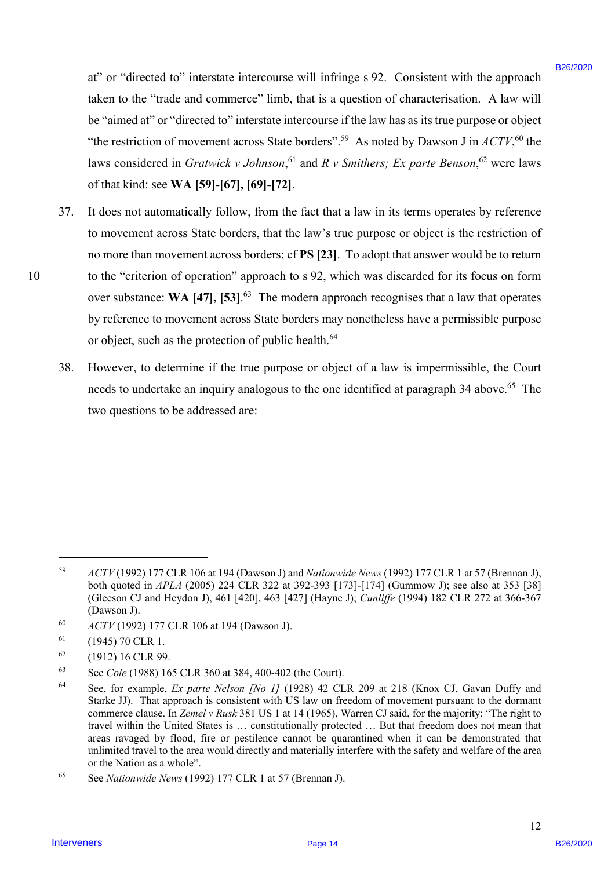at" or "directed to" interstate intercourse will infringe s 92. Consistent with the approach at" or "directed to" interstate intercourse will infringe <sup>s</sup> 92. Consistent with the approach taken to the "trade and commerce" limb, that is a question of characterisation. A law will taken to the "trade and commerce" limb, that is a question of characterisation. A law will be "aimed at" or "directed to" interstate intercourse if the law has as its true purpose or object be "aimed at" or "directed to" interstate intercourse ifthe law has as its true purpose or object "the restriction of movement across State borders".<sup>59</sup> As noted by Dawson J in  $ACTV$ ,<sup>60</sup> the laws considered in *Gratwick v Johnson*, <sup>61</sup> and *R v Smithers; Ex parte Benson*, <sup>62</sup> were laws of that kind: see **WA [59]-[67], [69]-[72]**. of that kind: see WA [59]-[67], [69]-[72].

- 37. It does not automatically follow, from the fact that a law in its terms operates by reference It does not automatically follow, from the fact that <sup>a</sup> law in its terms operates by reference to movement across State borders, that the law's true purpose or object is the restriction of to movement across State borders, that the law's true purpose or object is the restriction ofno more than movement across borders: cf **PS [23]**. To adopt that answer would be to return no more than movement across borders: cf PS [23]. To adopt that answer would be to return 10 to the "criterion of operation" approach to s 92, which was discarded for its focus on form to the "criterion of operation" approach to <sup>s</sup> 92, which was discarded for its focus on form over substance: WA [47], [53].<sup>63</sup> The modern approach recognises that a law that operates by reference to movement across State borders may nonetheless have a permissible purpose by reference to movement across State borders may nonetheless have <sup>a</sup> permissible purpose or object, such as the protection of public health.<sup>64</sup> at" or "directed al" interstate interstance will infinings v22. Consistent with the approach behavior to the 100 of "time discontinuers B26/2020 CHE also the time and consistent Units, the interpretsion of Antarctic State 37.
	- 38. However, to determine if the true purpose or object of a law is impermissible, the Court However, to determine if the true purpose or object of <sup>a</sup> law is impermissible, the Court needs to undertake an inquiry analogous to the one identified at paragraph 34 above.<sup>65</sup> The two questions to be addressed are: two questions to be addressed are: 38.

 $\overline{a}$ 

<sup>59</sup> *ACTV* (1992) 177 CLR 106 at 194 (Dawson J) and *Nationwide News* (1992) 177 CLR 1 at 57 (Brennan J), ACTV(1992) 177 CLR 106 at 194 (Dawson J) and Nationwide News (1992) 177 CLR 1 at 57 (Brennan J), both quoted in *APLA* (2005) 224 CLR 322 at 392-393 [173]-[174] (Gummow J); see also at 353 [38] both quoted in APLA (2005) 224 CLR 322 at 392-393 [173]-[174] (Gummow J); see also at 353 [38] (Gleeson CJ and Heydon J), 461 [420], 463 [427] (Hayne J); *Cunliffe* (1994) 182 CLR 272 at 366-367 (Gleeson CJ and Heydon J), 461 [420], 463 [427] (Hayne J); Cunliffe (1994) 182 CLR 272 at 366-367 (Dawson J). (Dawson J). 59

<sup>60</sup> *ACTV* (1992) 177 CLR 106 at 194 (Dawson J). ACTV (1992) 177 CLR 106 at 194 (Dawson J). 60

 $61$  (1945) 70 CLR 1. 61

 $^{62}$  (1912) 16 CLR 99. 62

<sup>63</sup> See *Cole* (1988) 165 CLR 360 at 384, 400-402 (the Court). See Cole (1988) 165 CLR 360 at 384, 400-402 (the Court). 63

<sup>64</sup> See, for example, *Ex parte Nelson [No 1]* (1928) 42 CLR 209 at 218 (Knox CJ, Gavan Duffy and See, for example, Ex parte Nelson [No I] (1928) <sup>42</sup> CLR <sup>209</sup> at <sup>218</sup> (Knox CJ, Gavan Duffy and Starke JJ). That approach is consistent with US law on freedom of movement pursuant to the dormant Starke JJ). That approach is consistent with US law on freedom of movement pursuant to the dormant commerce clause. In *Zemel v Rusk* 381 US 1 at 14 (1965), Warren CJ said, for the majority: "The right to commerce clause. In *Zemel v Rusk* 381 US 1 at 14 (1965), Warren CJ said, for the majority: "The right to travel within the United States is ... constitutionally protected ... But that freedom does not mean that areas ravaged by flood, fire or pestilence cannot be quarantined when it can be demonstrated that areas ravaged by flood, fire or pestilence cannot be quarantined when it can be demonstrated that unlimited travel to the area would directly and materially interfere with the safety and welfare of the area or the Nation as a whole". 64

<sup>65</sup> See *Nationwide News* (1992) 177 CLR 1 at 57 (Brennan J). See Nationwide News (1992) 177 CLR 1 at 57 (Brennan J). 65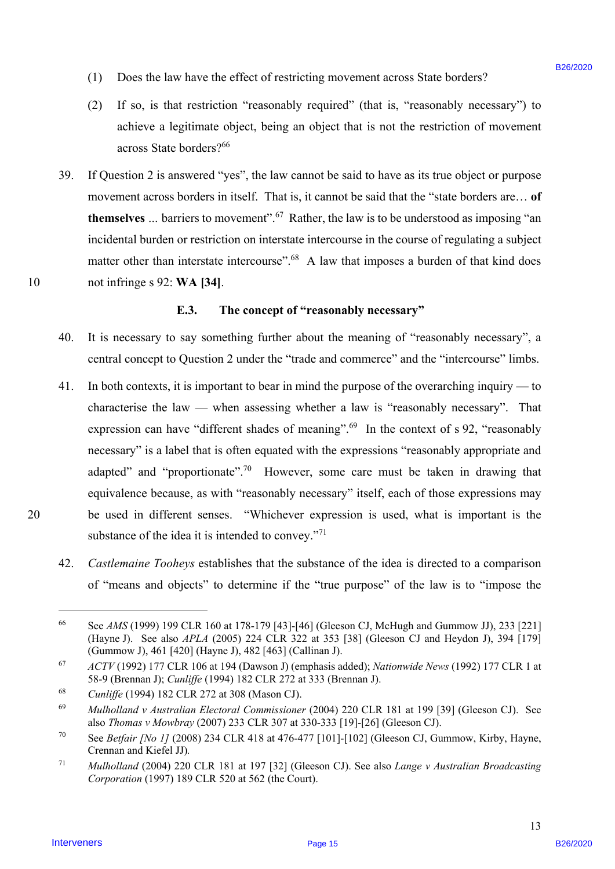- (1) Does the law have the effect of restricting movement across State borders? (1) Does the law have the effect of restricting movement across State borders?
- (2) If so, is that restriction "reasonably required" (that is, "reasonably necessary") to (2) If so, is that restriction "reasonably required" (that is, "reasonably necessary'') to achieve a legitimate object, being an object that is not the restriction of movement achieve <sup>a</sup> legitimate object, being an object that is not the restriction of movement across State borders?66 across State borders?
- 39. If Question 2 is answered "yes", the law cannot be said to have as its true object or purpose If Question <sup>2</sup> is answered "yes", the law cannot be said to have as its true object or purpose movement across borders in itself. That is, it cannot be said that the "state borders are… **of**  movement across borders in itself. That is, it cannot be said that the "state borders are... of themselves ... barriers to movement".<sup>67</sup> Rather, the law is to be understood as imposing "an incidental burden or restriction on interstate intercourse in the course of regulating a subject incidental burden or restriction on interstate intercourse in the course of regulating <sup>a</sup> subject matter other than interstate intercourse".<sup>68</sup> A law that imposes a burden of that kind does 10 not infringe s 92: **WA [34]**. not infringe <sup>s</sup> 92: WA [34]. 39.

#### **E.3. The concept of "reasonably necessary"**  E.3. The concept of "reasonably necessary"

- 40. It is necessary to say something further about the meaning of "reasonably necessary", a It is necessary to say something further about the meaning of "reasonably necessary", a central concept to Question 2 under the "trade and commerce" and the "intercourse" limbs. central concept to Question 2 under the "trade and commerce" and the "intercourse" limbs. 40.
- 41. In both contexts, it is important to bear in mind the purpose of the overarching inquiry to In both contexts, it is important to bear in mind the purpose of the overarching inquiry to characterise the law — when assessing whether a law is "reasonably necessary". That characterise the law — when assessing whether a law is "reasonably necessary". That expression can have "different shades of meaning".<sup>69</sup> In the context of s 92, "reasonably necessary" is a label that is often equated with the expressions "reasonably appropriate and necessary" is <sup>a</sup> label that is often equated with the expressions "reasonably appropriate andadapted" and "proportionate".<sup>70</sup> However, some care must be taken in drawing that equivalence because, as with "reasonably necessary" itself, each of those expressions may equivalence because, as with "reasonably necessary" itself, each of those expressions may 20 be used in different senses. "Whichever expression is used, what is important is the be used in different senses. "Whichever expression is used, what is important is the substance of the idea it is intended to convey."<sup>71</sup> (1) Does the law have the freed of restricting movement access State bondes?<br>
(2) The air has the steaders "momental" (but it, "researchive secure secure and the steaders" on the interveners"<br>
and the steaders are lagisti 41.
	- 42. *Castlemaine Tooheys* establishes that the substance of the idea is directed to a comparison Castlemaine Tooheys establishes that the substance of the idea is directed to <sup>a</sup> comparison of "means and objects" to determine if the "true purpose" of the law is to "impose the 42.

20

10

 $\overline{a}$ 

<sup>66</sup> See *AMS* (1999) 199 CLR 160 at 178-179 [43]-[46] (Gleeson CJ, McHugh and Gummow JJ), 233 [221] See AMS (1999) 199 CLR 160 at 178-179 [43]-[46] (Gleeson CJ, McHugh and Gummow JJ), 233 [221] (Hayne J). See also *APLA* (2005) 224 CLR 322 at 353 [38] (Gleeson CJ and Heydon J), 394 [179] (Hayne J). See also APLA (2005) 224 CLR 322 at 353 [38] (Gleeson CJ and Heydon J), 394 [179] (Gummow J), 461 [420] (Hayne J), 482 [463] (Callinan J). (Gummow J), 461 [420] (Hayne J), 482 [463] (Callinan J). 66

<sup>67</sup> *ACTV* (1992) 177 CLR 106 at 194 (Dawson J) (emphasis added); *Nationwide News* (1992) 177 CLR 1 at ACTV(1992) <sup>177</sup> CLR <sup>106</sup> at <sup>194</sup> (Dawson J) (emphasis added); Nationwide News (1992) <sup>177</sup> CLR <sup>1</sup> at 58-9 (Brennan J); *Cunliffe* (1994) 182 CLR 272 at 333 (Brennan J). 58-9 (Brennan J); Cunliffe (1994) 182 CLR 272 at 333 (Brennan J). 67

<sup>68</sup> *Cunliffe* (1994) 182 CLR 272 at 308 (Mason CJ). Cunliffe (1994) 182 CLR 272 at 308 (Mason CJ). 68

<sup>69</sup> *Mulholland v Australian Electoral Commissioner* (2004) 220 CLR 181 at 199 [39] (Gleeson CJ). See Mulholland v Australian Electoral Commissioner (2004) 220 CLR 181 at 199 [39] (Gleeson CJ). See also *Thomas v Mowbray* (2007) 233 CLR 307 at 330-333 [19]-[26] (Gleeson CJ). also Thomas v Mowbray (2007) 233 CLR 307 at 330-333 [19]-[26] (Gleeson CJ). 69

<sup>&</sup>lt;sup>70</sup> See *Betfair [No 1]* (2008) 234 CLR 418 at 476-477 [101]-[102] (Gleeson CJ, Gummow, Kirby, Hayne, Crennan and Kiefel JJ)*.*  Crennan and Kiefel JJ). 70

<sup>71</sup> *Mulholland* (2004) 220 CLR 181 at 197 [32] (Gleeson CJ). See also *Lange v Australian Broadcasting*  Mulholland (2004) 220 CLR 181 at 197 [32] (Gleeson CJ). See also Lange v Australian Broadcasting *Corporation* (1997) 189 CLR 520 at 562 (the Court). Corporation (1997) 189 CLR 520 at 562 (the Court). 71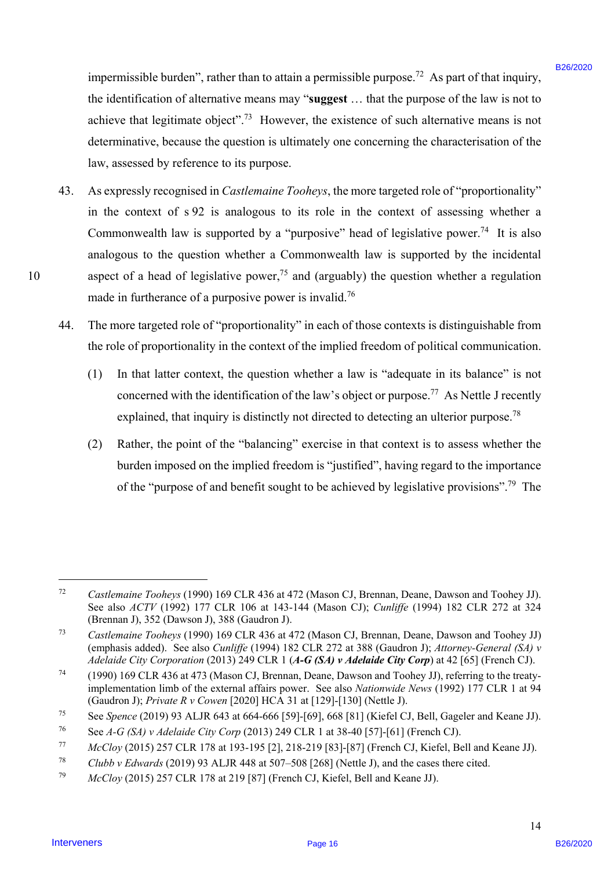impermissible burden", rather than to attain a permissible purpose.<sup>72</sup> As part of that inquiry, the identification of alternative means may "suggest ... that the purpose of the law is not to achieve that legitimate object".<sup>73</sup> However, the existence of such alternative means is not determinative, because the question is ultimately one concerning the characterisation of the determinative, because the question is ultimately one concerning the characterisation of the law, assessed by reference to its purpose. law, assessed by reference to its purpose.

- 43. As expressly recognised in *Castlemaine Tooheys*, the more targeted role of "proportionality" As expressly recognised in Castlemaine Tooheys, the more targeted role of"proportionality" in the context of s 92 is analogous to its role in the context of assessing whether a in the context of s92 is analogous to its role in the context of assessing whether a Commonwealth law is supported by a "purposive" head of legislative power.<sup>74</sup> It is also analogous to the question whether a Commonwealth law is supported by the incidental analogous to the question whether <sup>a</sup> Commonwealth law is supported by the incidental 10 aspect of a head of legislative power,<sup>75</sup> and (arguably) the question whether a regulation made in furtherance of a purposive power is invalid.<sup>76</sup> investmissible bandars" caller than to stain a permissible parpose.<sup>27</sup> As part of that impairs,<br>the interdention of alternative moment symptom. That the parpose of the law is not one<br>absent that injeriment objects.<sup>12</sup> H 43.
	- 44. The more targeted role of "proportionality" in each of those contexts is distinguishable from The more targeted role of "proportionality" in each of those contexts is distinguishable from the role of proportionality in the context of the implied freedom of political communication. the role of proportionality in the context of the implied freedom of political communication. 4A.
		- (1) In that latter context, the question whether a law is "adequate in its balance" is not (1) In that latter context, the question whether <sup>a</sup> law is "adequate in its balance" is notconcerned with the identification of the law's object or purpose.<sup>77</sup> As Nettle J recently explained, that inquiry is distinctly not directed to detecting an ulterior purpose.<sup>78</sup>
		- (2) Rather, the point of the "balancing" exercise in that context is to assess whether the (2) Rather, the point of the "balancing" exercise in that context is to assess whether the burden imposed on the implied freedom is "justified", having regard to the importance burden imposed on the implied freedom is "justified", having regard to the importance of the "purpose of and benefit sought to be achieved by legislative provisions".<sup>79</sup> The

 $\overline{a}$ 

<sup>72</sup> *Castlemaine Tooheys* (1990) 169 CLR 436 at 472 (Mason CJ, Brennan, Deane, Dawson and Toohey JJ). Castlemaine Tooheys (1990) 169 CLR 436 at 472 (Mason CJ, Brennan, Deane, Dawson and Toohey JJ). See also *ACTV* (1992) 177 CLR 106 at 143-144 (Mason CJ); *Cunliffe* (1994) 182 CLR 272 at 324 (Brennan J), 352 (Dawson J), 388 (Gaudron J). (Brennan J), 352 (Dawson J), 388 (Gaudron J). 72

<sup>73</sup> *Castlemaine Tooheys* (1990) 169 CLR 436 at 472 (Mason CJ, Brennan, Deane, Dawson and Toohey JJ) Castlemaine Tooheys (1990) 169 CLR 436 at 472 (Mason CJ, Brennan, Deane, Dawson and Toohey JJ)<br>(emphasis added). See also *Cunliffe* (1994) 182 CLR 272 at 388 (Gaudron J); *Attorney-General (SA) v* Adelaide City Corporation (2013) 249 CLR 1 (A-G (SA) v Adelaide City Corp) at 42 [65] (French CJ). 73

<sup>74 (1990) 169</sup> CLR 436 at 473 (Mason CJ, Brennan, Deane, Dawson and Toohey JJ), referring to the treaty-(1990) 169 CLR 436 at 473 (Mason CJ, Brennan, Deane, Dawson and Toohey JJ), referring to the treatyimplementation limb of the external affairs power. See also *Nationwide News* (1992) 177 CLR 1 at 94 implementation limb of the external affairs power. See also Nationwide News (1992) 177 CLR 1 at 94 (Gaudron J); *Private R v Cowen* [2020] HCA 31 at [129]-[130] (Nettle J). (Gaudron J); Private R v Cowen [2020] HCA 31 at [129]-[130] (Nettle J). 74

<sup>75</sup> See *Spence* (2019) 93 ALJR 643 at 664-666 [59]-[69], 668 [81] (Kiefel CJ, Bell, Gageler and Keane JJ). See Spence (2019) 93 ALJR 643 at 664-666 [59]-[69], 668 [81] (Kiefel CJ, Bell, Gageler and Keane JJ). 75

<sup>&</sup>lt;sup>76</sup> See *A*-*G* (SA) v *Adelaide City Corp* (2013) 249 CLR 1 at 38-40 [57]-[61] (French CJ). 76

<sup>77</sup> *McCloy* (2015) 257 CLR 178 at 193-195 [2], 218-219 [83]-[87] (French CJ, Kiefel, Bell and Keane JJ). McCloy (2015) 257 CLR 178 at 193-195 [2], 218-219 [83]-[87] (French CJ, Kiefel, Bell and Keane JJ). 77

<sup>78</sup> *Clubb v Edwards* (2019) 93 ALJR 448 at 507–508 [268] (Nettle J), and the cases there cited. Clubb v Edwards (2019) 93 ALJR 448 at 507-508 [268] (Nettle J), and the cases there cited. 78

<sup>79</sup> *McCloy* (2015) 257 CLR 178 at 219 [87] (French CJ, Kiefel, Bell and Keane JJ). McCloy (2015) 257 CLR 178 at 219 [87] (French CJ, Kiefel, Bell and Keane JJ). 79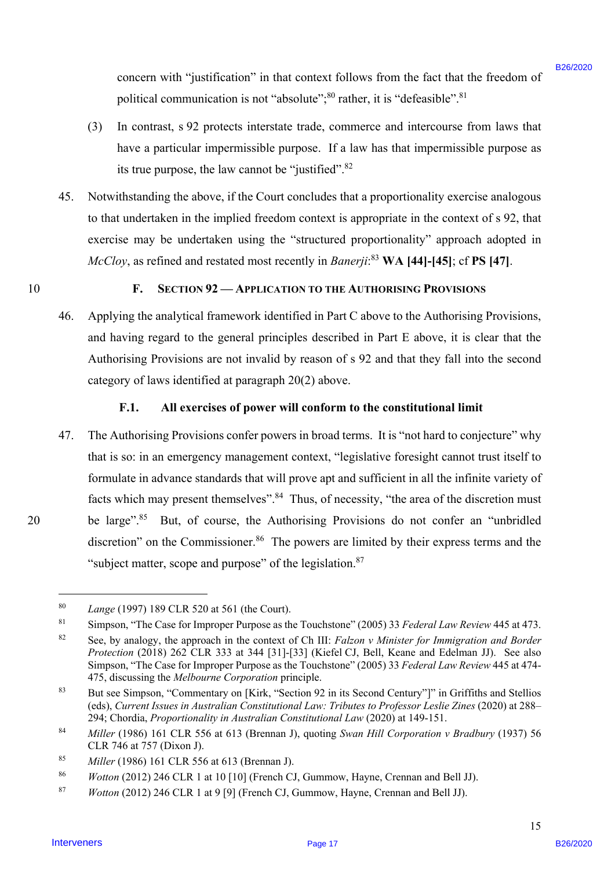concern with "justification" in that context follows from the fact that the freedom of concern with "justification" in that context follows from the fact that the freedom ofpolitical communication is not "absolute"; $^{80}$  rather, it is "defeasible". $^{81}$ 

- (3) In contrast, s 92 protects interstate trade, commerce and intercourse from laws that (3) In contrast, <sup>s</sup> 92 protects interstate trade, commerce and intercourse from laws that have a particular impermissible purpose. If a law has that impermissible purpose as have <sup>a</sup> particular impermissible purpose. If <sup>a</sup> law has that impermissible purpose as its true purpose, the law cannot be "justified".<sup>82</sup>
- 45. Notwithstanding the above, if the Court concludes that a proportionality exercise analogous Notwithstanding the above, ifthe Court concludes that <sup>a</sup> proportionality exercise analogous to that undertaken in the implied freedom context is appropriate in the context of s 92, that to that undertaken in the implied freedom context is appropriate in the context of <sup>s</sup> 92, that exercise may be undertaken using the "structured proportionality" approach adopted in exercise may be undertaken using the "structured proportionality" approach adopted in *McCloy*, as refined and restated most recently in *Banerji*:<sup>83</sup> **WA [44]-[45]**; cf **PS [47]**. 45.
- 10

#### 10 **F. SECTION 92 — APPLICATION TO THE AUTHORISING PROVISIONS** F. SECTION 92 — APPLICATION TO THE AUTHORISING PROVISIONS

46. Applying the analytical framework identified in Part C above to the Authorising Provisions, Applying the analytical framework identified in Part C above to the Authorising Provisions, and having regard to the general principles described in Part E above, it is clear that the and having regard to the general principles described in Part E above, it is clear that the Authorising Provisions are not invalid by reason of s 92 and that they fall into the second Authorising Provisions are not invalid by reason of <sup>s</sup> 92 and that they fall into the second category of laws identified at paragraph 20(2) above. category of laws identified at paragraph 20(2) above. 46.

# F.1. All exercises of power will conform to the constitutional limit

47. The Authorising Provisions confer powers in broad terms. It is "not hard to conjecture" why The Authorising Provisions confer powers in broad terms. It is "not hard to conjecture" why that is so: in an emergency management context, "legislative foresight cannot trust itself to that is so: in an emergency management context, "legislative foresight cannot trust itself to formulate in advance standards that will prove apt and sufficient in all the infinite variety of formulate in advance standards that will prove apt and sufficient in all the infinite variety of facts which may present themselves".<sup>84</sup> Thus, of necessity, "the area of the discretion must 20 be large".<sup>85</sup> But, of course, the Authorising Provisions do not confer an "unbridled discretion" on the Commissioner.<sup>86</sup> The powers are limited by their express terms and the "subject matter, scope and purpose" of the legislation. $87$ someon with "final final final final final final final final final final final final final final final final final final final final final final final final final final final final final final final final final final fina 47.

 $\overline{a}$ 

<sup>80</sup> *Lange* (1997) 189 CLR 520 at 561 (the Court). Lange (1997) 189 CLR 520 at 561 (the Court). 80

<sup>81</sup> Simpson, "The Case for Improper Purpose as the Touchstone" (2005) 33 *Federal Law Review* 445 at 473. Simpson, "The Case for Improper Purpose as the Touchstone" (2005) 33 Federal Law Review 445 at 473. 81

<sup>82</sup> See, by analogy, the approach in the context of Ch III: *Falzon v Minister for Immigration and Border*  See, by analogy, the approach in the context of Ch III: Falzon <sup>v</sup> Minister for Immigration and Border *Protection* (2018) 262 CLR 333 at 344 [31]-[33] (Kiefel CJ, Bell, Keane and Edelman JJ). See also Protection (2018) 262 CLR 333 at 344 [31]-[33] (Kiefel CJ, Bell, Keane and Edelman JJ). See also Simpson, "The Case for Improper Purpose as the Touchstone" (2005) 33 *Federal Law Review* 445 at 474- Simpson, "The Case for Improper Purpose as the Touchstone" (2005) 33 Federal Law Review 445 at 474- 475, discussing the *Melbourne Corporation* principle. 475, discussing the Melbourne Corporation principle. 82

<sup>&</sup>lt;sup>83</sup> But see Simpson, "Commentary on [Kirk, "Section 92 in its Second Century"]" in Griffiths and Stellios (eds), Current Issues in Australian Constitutional Law: Tributes to Professor Leslie Zines (2020) at 288-294; Chordia, *Proportionality in Australian Constitutional Law* (2020) at 149-151. 294; Chordia, Proportionality in Australian Constitutional Law (2020) at 149-151. 83

<sup>84</sup> *Miller* (1986) 161 CLR 556 at 613 (Brennan J), quoting *Swan Hill Corporation v Bradbury* (1937) 56 Miller (1986) <sup>161</sup> CLR 556 at 613 (Brennan J), quoting Swan Hill Corporation v Bradbury (1937) 56CLR 746 at 757 (Dixon J). CLR 746 at 757 (Dixon J). 84

<sup>85</sup> *Miller* (1986) 161 CLR 556 at 613 (Brennan J). Miller (1986) <sup>161</sup> CLR 556 at 613 (Brennan J). 85

<sup>86</sup> *Wotton* (2012) 246 CLR 1 at 10 [10] (French CJ, Gummow, Hayne, Crennan and Bell JJ). Wotton (2012) 246 CLR 1 at 10 [10] (French CJ, Gummow, Hayne, Crennan and Bell JJ). 86

<sup>87</sup> *Wotton* (2012) 246 CLR 1 at 9 [9] (French CJ, Gummow, Hayne, Crennan and Bell JJ). Wotton (2012) 246 CLR 1 at 9 [9] (French CJ, Gummow, Hayne, Crennan and Bell JJ). 87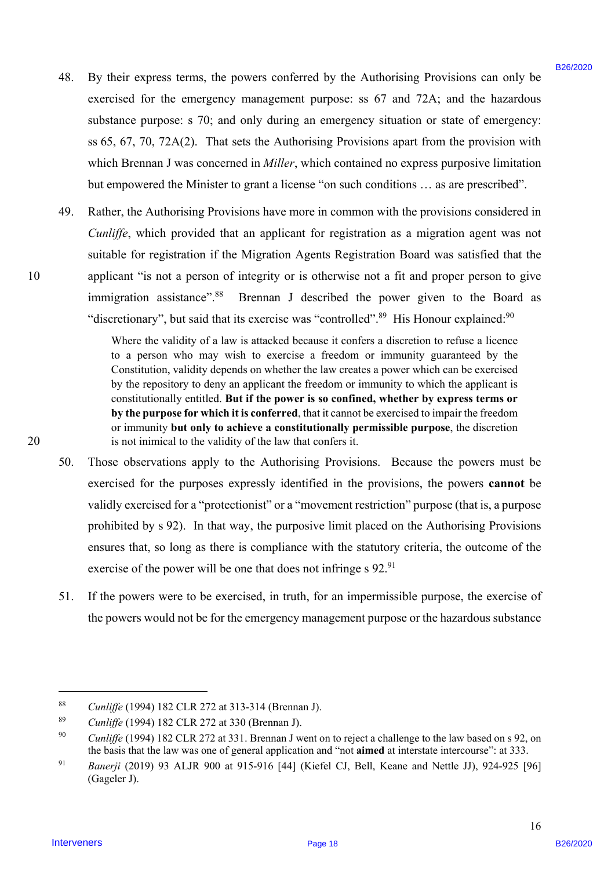- 48. By their express terms, the powers conferred by the Authorising Provisions can only be By their express terms, the powers conferred by the Authorising Provisions can only be exercised for the emergency management purpose: ss 67 and 72A; and the hazardous exercised for the emergency management purpose: ss 67 and 72A; and the hazardous substance purpose: s 70; and only during an emergency situation or state of emergency: substance purpose: <sup>s</sup> 70; and only during an emergency situation or state of emergency: ss 65, 67, 70, 72A(2). That sets the Authorising Provisions apart from the provision with ss 65, 67, 70, 72A(2). That sets the Authorising Provisions apart from the provision with which Brennan J was concerned in *Miller*, which contained no express purposive limitation which Brennan <sup>J</sup> was concerned in Miller, which contained no express purposive limitationbut empowered the Minister to grant a license "on such conditions … as are prescribed". but empowered the Minister to grant <sup>a</sup> license "on such conditions ... as are prescribed". 48.
- 49. Rather, the Authorising Provisions have more in common with the provisions considered in Rather, the Authorising Provisions have more in common with the provisions considered in *Cunliffe*, which provided that an applicant for registration as a migration agent was not Cunliffe, which provided that an applicant for registration as a migration agent was not suitable for registration if the Migration Agents Registration Board was satisfied that the suitable for registration if the Migration Agents Registration Board was satisfied that the 10 applicant "is not a person of integrity or is otherwise not a fit and proper person to give applicant "is not <sup>a</sup> person of integrity or is otherwise not <sup>a</sup> fit and proper person to give immigration assistance".<sup>88</sup> Brennan J described the power given to the Board as "discretionary", but said that its exercise was "controlled".<sup>89</sup> His Honour explained:<sup>90</sup> 49.

Where the validity of a law is attacked because it confers a discretion to refuse a licence Where the validity of a law is attacked because it confers a discretion to refuse a licence to a person who may wish to exercise a freedom or immunity guaranteed by the to a person who may wish to exercise a freedom or immunity guaranteed by the Constitution, validity depends on whether the law creates a power which can be exercised Constitution, validity depends on whether the law creates a power which can be exercised by the repository to deny an applicant the freedom or immunity to which the applicant is by the repository to deny an applicant the freedom or immunity to which the applicant is constitutionally entitled. **But if the power is so confined, whether by express terms or** constitutionally entitled. But if the power is so confined, whether by express terms or **by the purpose for which it is conferred**, that it cannot be exercised to impair the freedom by the purpose for which it is conferred, that it cannot be exercised to impair the freedom or immunity **but only to achieve a constitutionally permissible purpose**, the discretion or immunity but only to achieve a constitutionally permissible purpose, the discretion 20 is not inimical to the validity of the law that confers it. is not inimical to the validity of the law that confers it.

- 50. Those observations apply to the Authorising Provisions. Because the powers must be Those observations apply to the Authorising Provisions. Because the powers must be exercised for the purposes expressly identified in the provisions, the powers **cannot** be exercised for the purposes expressly identified in the provisions, the powers cannot be validly exercised for a "protectionist" or a "movement restriction" purpose (that is, a purpose validly exercised for <sup>a</sup> "protectionist" or <sup>a</sup> "movement restriction" purpose (that is, <sup>a</sup> purpose prohibited by s 92). In that way, the purposive limit placed on the Authorising Provisions prohibited by <sup>s</sup> 92). In that way, the purposive limit placed on the Authorising Provisions ensures that, so long as there is compliance with the statutory criteria, the outcome of the ensures that, so long as there is compliance with the statutory criteria, the outcome of the exercise of the power will be one that does not infringe s 92.<sup>91</sup> 48. By their contoo kerns the powers conferred by the Authoring Provisions can only be exactly for the exact positions control to the exact powers of the matrices provisions and the base of the exact powers and the exact 50.
- 51. If the powers were to be exercised, in truth, for an impermissible purpose, the exercise of If the powers were to be exercised, in truth, for an impermissible purpose, the exercise of the powers would not be for the emergency management purpose or the hazardous substance the powers would not be for the emergency management purpose or the hazardous substance51.

 $\overline{a}$ 

<sup>88</sup> *Cunliffe* (1994) 182 CLR 272 at 313-314 (Brennan J). Cunliffe (1994) 182 CLR 272 at 313-314 (Brennan J). 88

<sup>89</sup> *Cunliffe* (1994) 182 CLR 272 at 330 (Brennan J). Cunliffe (1994) 182 CLR 272 at 330 (Brennan J). 89

<sup>90</sup> *Cunliffe* (1994) 182 CLR 272 at 331. Brennan J went on to reject a challenge to the law based on s 92, on Cunliffe (1994) 182 CLR 272 at 331. Brennan <sup>J</sup> went on to reject a challenge to the law based on s 92, on the basis that the law was one of general application and "not **aimed** at interstate intercourse": at 333. the basis that the law was one of general application and "not aimed at interstate intercourse": at 333. 90

<sup>91</sup> *Banerji* (2019) 93 ALJR 900 at 915-916 [44] (Kiefel CJ, Bell, Keane and Nettle JJ), 924-925 [96] Banerji (2019) 93 ALJR 900 at 915-916 [44] (Kiefel CJ, Bell, Keane and Nettle JJ), 924-925 [96] (Gageler J). (Gageler J). 91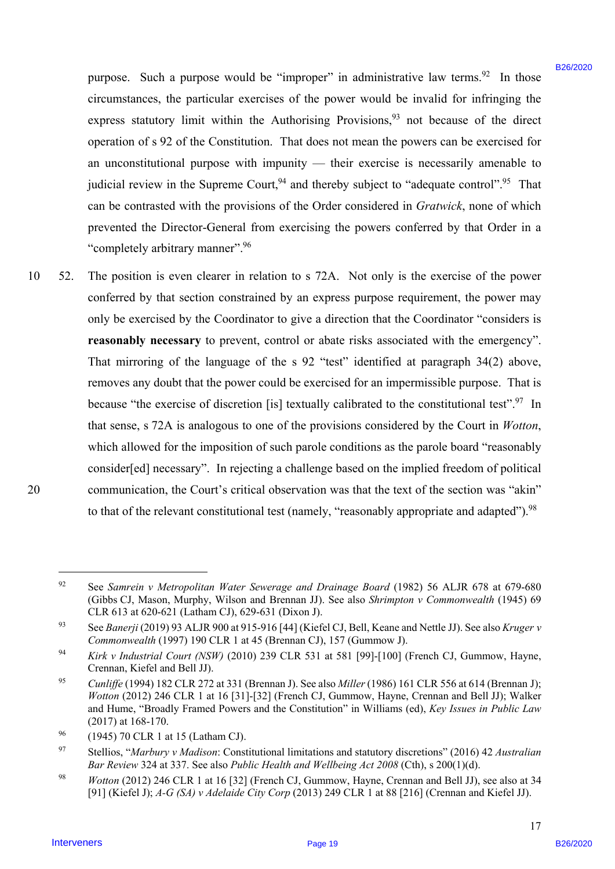purpose. Such a purpose would be "improper" in administrative law terms.<sup>92</sup> In those circumstances, the particular exercises of the power would be invalid for infringing the circumstances, the particular exercises of the power would be invalid for infringing the express statutory limit within the Authorising Provisions,  $93$  not because of the direct operation of s 92 of the Constitution. That does not mean the powers can be exercised for an unconstitutional purpose with impunity — their exercise is necessarily amenable to an unconstitutional purpose with impunity — their exercise is necessarily amenable to judicial review in the Supreme Court,  $94$  and thereby subject to "adequate control". <sup>95</sup> That can be contrasted with the provisions of the Order considered in Gratwick, none of which prevented the Director-General from exercising the powers conferred by that Order in a prevented the Director-General from exercising the powers conferred by that Order in a "completely arbitrary manner".<sup>96</sup>

10 52. The position is even clearer in relation to s 72A. Not only is the exercise of the power conferred by that section constrained by an express purpose requirement, the power may conferred by that section constrained by an express purpose requirement, the power may only be exercised by the Coordinator to give a direction that the Coordinator "considers is reasonably necessary to prevent, control or abate risks associated with the emergency". That mirroring of the language of the s 92 "test" identified at paragraph 34(2) above, That mirroring of the language of the <sup>s</sup> <sup>92</sup> "test" identified at paragraph 34(2) above, removes any doubt that the power could be exercised for an impermissible purpose. That is removes any doubt that the power could be exercised for an impermissible purpose. That is because "the exercise of discretion [is] textually calibrated to the constitutional test".<sup>97</sup> In that sense, s 72A is analogous to one of the provisions considered by the Court in *Wotton*, that sense, <sup>s</sup> 72A is analogous to one of the provisions considered by the Court in Wotton, which allowed for the imposition of such parole conditions as the parole board "reasonably which allowed for the imposition of such parole conditions as the parole board "reasonably consider[ed] necessary". In rejecting a challenge based on the implied freedom of political consider[ed] necessary". In rejecting a challenge based on the implied freedom of political 20 communication, the Court's critical observation was that the text of the section was "akin" communication, the Court's critical observation was that the text of the section was "akin" to that of the relevant constitutional test (namely, "reasonably appropriate and adapted").<sup>98</sup> paryose. Such a paryose sevald be "improper" in administrative late terms.<sup>23</sup> In these estatute exception of the party and the bare and the minister content of the party and the terms of the party and the minister of the 10 52.

 $\overline{a}$ 

<sup>92</sup> See *Samrein v Metropolitan Water Sewerage and Drainage Board* (1982) 56 ALJR 678 at 679-680 See Samrein v Metropolitan Water Sewerage and Drainage Board (1982) 56 ALJR 678 at 679-680 (Gibbs CJ, Mason, Murphy, Wilson and Brennan JJ). See also *Shrimpton v Commonwealth* (1945) 69 (Gibbs CJ, Mason, Murphy, Wilson and Brennan JJ). See also Shrimpton v Commonwealth (1945) 69 CLR 613 at 620-621 (Latham CJ), 629-631 (Dixon J). CLR 613 at 620-621 (Latham CJ), 629-631 (Dixon J). 92

<sup>&</sup>lt;sup>93</sup> See *Banerji* (2019) 93 ALJR 900 at 915-916 [44] (Kiefel CJ, Bell, Keane and Nettle JJ). See also Kruger v Commonwealth (1997) 190 CLR 1 at 45 (Brennan CJ), 157 (Gummow J). 93

<sup>94</sup> *Kirk v Industrial Court (NSW)* (2010) 239 CLR 531 at 581 [99]-[100] (French CJ, Gummow, Hayne, Kirk v Industrial Court (NSW) (2010) 239 CLR 531 at 581 [99]-[100] (French CJ, Gummow, Hayne, Crennan, Kiefel and Bell JJ). Crennan, Kiefel and Bell JJ). 94

<sup>95</sup> *Cunliffe* (1994) 182 CLR 272 at 331 (Brennan J). See also *Miller* (1986) 161 CLR 556 at 614 (Brennan J); Cunliffe (1994) 182 CLR 272 at 331 (Brennan J). See also Miller (1986) 161 CLR 556 at 614 (Brennan J); Wotton (2012) 246 CLR 1 at 16 [31]-[32] (French CJ, Gummow, Hayne, Crennan and Bell JJ); Walker and Hume, "Broadly Framed Powers and the Constitution" in Williams (ed), *Key Issues in Public Law*  and Hume, "Broadly Framed Powers and the Constitution" in Williams (ed), Key Issues in Public Law (2017) at 168-170. (2017) at 168-170. 95

<sup>&</sup>lt;sup>96</sup> (1945) 70 CLR 1 at 15 (Latham CJ). 96

<sup>&</sup>lt;sup>97</sup> Stellios, "*Marbury v Madison*: Constitutional limitations and statutory discretions" (2016) 42 Australian Bar Review 324 at 337. See also Public Health and Wellbeing Act 2008 (Cth), s 200(1)(d). 97

<sup>98</sup> *Wotton* (2012) 246 CLR 1 at 16 [32] (French CJ, Gummow, Hayne, Crennan and Bell JJ), see also at 34 Wotton (2012) 246 CLR 1 at 16 [32] (French CJ, Gummow, Hayne, Crennan and Bell JJ), see also at 34 [91] (Kiefel J); *A-G (SA) v Adelaide City Corp* (2013) 249 CLR 1 at 88 [216] (Crennan and Kiefel JJ). 98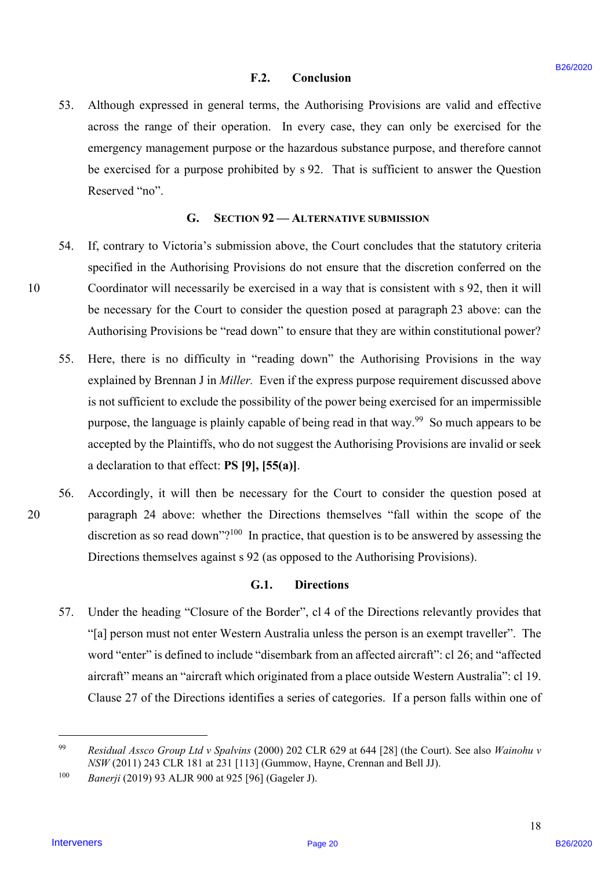#### **F.2. Conclusion**  F.2. Conclusion

53. Although expressed in general terms, the Authorising Provisions are valid and effective Although expressed in general terms, the Authorising Provisions are valid and effective across the range of their operation. In every case, they can only be exercised for the across the range of their operation. In every case, they can only be exercised for the emergency management purpose or the hazardous substance purpose, and therefore cannot emergency management purpose or the hazardous substance purpose, and therefore cannot be exercised for a purpose prohibited by s 92. That is sufficient to answer the Question be exercised for a purpose prohibited by <sup>s</sup> 92. That is sufficient to answer the Question Reserved "no". 53.

#### **G. SECTION 92 — ALTERNATIVE SUBMISSION** G. SECTION 92 —ALTERNATIVE SUBMISSION

- 54. If, contrary to Victoria's submission above, the Court concludes that the statutory criteria If, contrary to Victoria's submission above, the Court concludes that the statutory criteria specified in the Authorising Provisions do not ensure that the discretion conferred on the specified in the Authorising Provisions do not ensure that the discretion conferred on the 10 Coordinator will necessarily be exercised in a way that is consistent with s 92, then it will Coordinator will necessarily be exercised in <sup>a</sup> way that is consistent with <sup>s</sup> 92, then it will be necessary for the Court to consider the question posed at paragraph 23 above: can the be necessary for the Court to consider the question posed at paragraph 23 above: can the Authorising Provisions be "read down" to ensure that they are within constitutional power? Authorising Provisions be "read down" to ensure that they are within constitutional power? 54.
- 55. Here, there is no difficulty in "reading down" the Authorising Provisions in the way Here, there is no difficulty in "reading down" the Authorising Provisions in the way explained by Brennan J in *Miller*. Even if the express purpose requirement discussed above is not sufficient to exclude the possibility of the power being exercised for an impermissible is not sufficient to exclude the possibility of the power being exercised for an impermissible purpose, the language is plainly capable of being read in that way.<sup>99</sup> So much appears to be accepted by the Plaintiffs, who do not suggest the Authorising Provisions are invalid or seek accepted by the Plaintiffs, who do not suggest the Authorising Provisions are invalid or seek a declaration to that effect: **PS [9], [55(a)]**. a declaration to that effect: PS [9], [55(a)]. F.2. Conclusion F.2. Conclusion Fraction (Figure 2020)<br>
31. Although expressed in general interne, she A Aubureauy Provisions are saids and efficiency<br>
accouss the range of their operation. In every use, they can only be 55.
- 56. Accordingly, it will then be necessary for the Court to consider the question posed at Accordingly, it will then be necessary for the Court to consider the question posed at 20 paragraph 24 above: whether the Directions themselves "fall within the scope of the paragraph 24 above: whether the Directions themselves "fall within the scope of the discretion as so read down"?<sup>100</sup> In practice, that question is to be answered by assessing the Directions themselves against s 92 (as opposed to the Authorising Provisions). Directions themselves against <sup>s</sup> 92 (as opposed to the Authorising Provisions). 56.

#### **G.1. Directions**  G.1. Directions

57. Under the heading "Closure of the Border", cl 4 of the Directions relevantly provides that Under the heading "Closure of the Border", cl 4 of the Directions relevantly provides that "[a] person must not enter Western Australia unless the person is an exempt traveller". The word "enter" is defined to include "disembark from an affected aircraft": cl 26; and "affected aircraft" means an "aircraft which originated from a place outside Western Australia": cl 19. aircraft" means an "aircraft which originated from a place outside Western Australia": cl 19. Clause 27 of the Directions identifies a series of categories. If a person falls within one of Clause <sup>27</sup> of the Directions identifies <sup>a</sup> series of categories. If <sup>a</sup> person falls within one of 57.

 $\overline{a}$ 

10

<sup>99</sup> *Residual Assco Group Ltd v Spalvins* (2000) 202 CLR 629 at 644 [28] (the Court). See also *Wainohu v*  Residual Assco Group Ltd v Spalvins (2000) 202 CLR 629 at 644 [28] (the Court). See also Wainohu v *NSW* (2011) 243 CLR 181 at 231 [113] (Gummow, Hayne, Crennan and Bell JJ). NSW (2011) 243 CLR 181 at 231 [113] (Gummow, Hayne, Crennan and Bell JJ). 99

<sup>100</sup> *Banerji* (2019) 93 ALJR 900 at 925 [96] (Gageler J). Banerji (2019) 93 ALJR 900 at 925 [96] (Gageler J). 100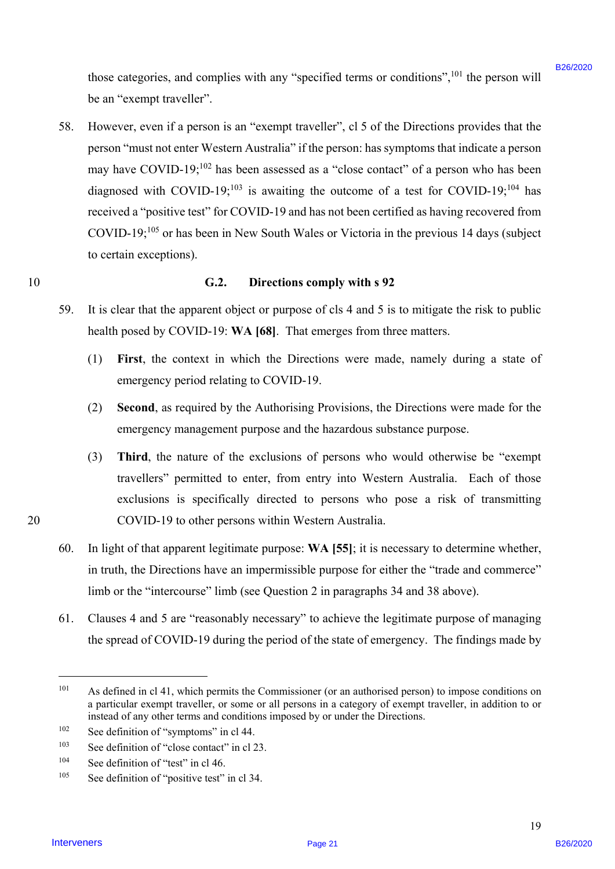those categories, and complies with any "specified terms or conditions",<sup>101</sup> the person will be an "exempt traveller". be an "exempt traveller".

58. However, even if a person is an "exempt traveller", cl 5 of the Directions provides that the However, even if <sup>a</sup> person is an "exempt traveller", cl <sup>5</sup> of the Directions provides that the person "must not enter Western Australia" if the person: has symptoms that indicate a person person "must not enter Western Australia" ifthe person: has symptoms that indicate <sup>a</sup> person may have COVID-19;<sup>102</sup> has been assessed as a "close contact" of a person who has been diagnosed with COVID-19;<sup>103</sup> is awaiting the outcome of a test for COVID-19;<sup>104</sup> has received a "positive test" for COVID-19 and has not been certified as having recovered from received a "positive test" for COVID-19 and has not been certified as having recovered from COVID-19; $^{105}$  or has been in New South Wales or Victoria in the previous 14 days (subject to certain exceptions). to certain exceptions). Intervene catagories, and correlates with any "specifical terms or conditions";<sup>151</sup> the person with<br>
S6. However, even if a person is an "excerpt traveller", el 5 of the Directions provides that the<br>
person "mass not ear 58.

#### 10 **G.2. Directions comply with s 92**  G.2. Directions comply with <sup>s</sup> 92

- 59. It is clear that the apparent object or purpose of cls 4 and 5 is to mitigate the risk to public health posed by COVID-19: **WA [68]**. That emerges from three matters. health posed by COVID-19: WA [68]. That emerges from three matters. 59.
	- (1) **First**, the context in which the Directions were made, namely during a state of (1) First, the context in which the Directions were made, namely duringa state of emergency period relating to COVID-19. emergency period relating to COVID-19.
	- (2) **Second**, as required by the Authorising Provisions, the Directions were made for the (2) Second, as required by the Authorising Provisions, the Directions were made for the emergency management purpose and the hazardous substance purpose. emergency management purpose and the hazardous substance purpose.
- (3) **Third**, the nature of the exclusions of persons who would otherwise be "exempt (3) Third, the nature of the exclusions of persons who would otherwise be "exempt travellers" permitted to enter, from entry into Western Australia. Each of those travellers" permitted to enter, from entry into Western Australia. Each of those exclusions is specifically directed to persons who pose a risk of transmitting exclusions is specifically directed to persons who pose <sup>a</sup> risk of transmitting 20 COVID-19 to other persons within Western Australia. COVID-19 to other persons within Western Australia.
	- 60. In light of that apparent legitimate purpose: **WA [55]**; it is necessary to determine whether, In light of that apparent legitimate purpose: WA [55]; it is necessary to determine whether, in truth, the Directions have an impermissible purpose for either the "trade and commerce" in truth, the Directions have an impermissible purpose for either the "trade and commerce" limb or the "intercourse" limb (see Question 2 in paragraphs 34 and 38 above). limb or the "intercourse" limb (see Question 2 in paragraphs 34 and 38 above). 60.
	- 61. Clauses 4 and 5 are "reasonably necessary" to achieve the legitimate purpose of managing Clauses 4 and <sup>5</sup> are "reasonably necessary" to achieve the legitimate purpose of managing the spread of COVID-19 during the period of the state of emergency. The findings made by the spread of COVID-19 during the period of the state of emergency. The findings made by61.

 $\overline{a}$ 

<sup>&</sup>lt;sup>101</sup> As defined in cl 41, which permits the Commissioner (or an authorised person) to impose conditions on a particular exempt traveller, or some or all persons in a category of exempt traveller, in addition to or a particular exempt traveller, or some or all persons in a category of exempt traveller, in addition to or instead of any other terms and conditions imposed by or under the Directions. instead of any other terms and conditions imposed by or under the Directions. 101

<sup>&</sup>lt;sup>102</sup> See definition of "symptoms" in cl 44. 102

 $103$  See definition of "close contact" in cl 23. 103

<sup>104</sup> See definition of "test" in cl 46. See definition of "test" in cl 46. 104

<sup>&</sup>lt;sup>105</sup> See definition of "positive test" in cl 34. 105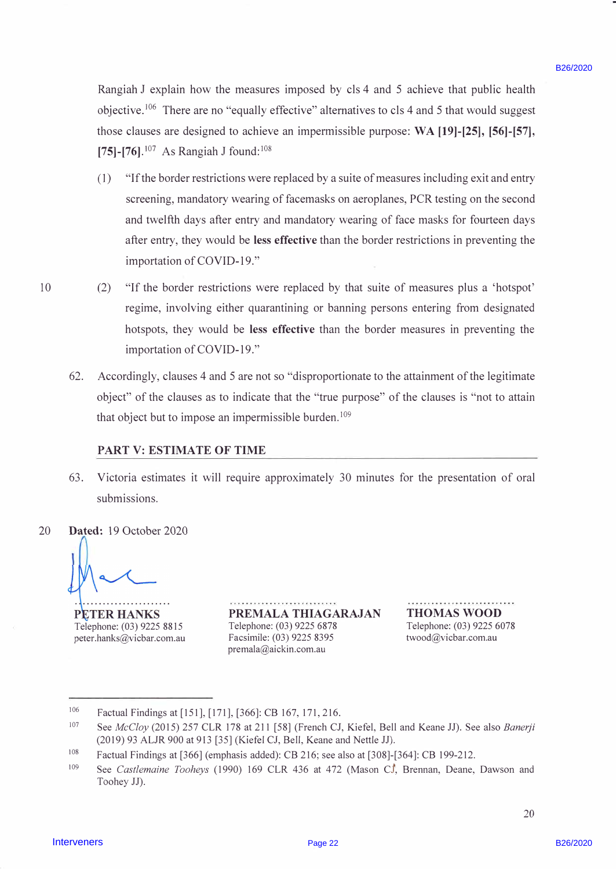Rangiah J explain how the measures imposed by cls 4 and 5 achieve that public health Rangiah J explain how the measures imposed by cls 4 and <sup>5</sup> achieve that public health objective.<sup>106</sup> There are no "equally effective" alternatives to cls 4 and 5 that would suggest those clauses are designed to achieve an impermissible purpose: **WA [19)-[25), [56)-[57],**  those clauses are designed to achieve an impermissible purpose: WA [19]-[25], [56]-[57], [75]-[76].<sup>107</sup> As Rangiah J found:<sup>108</sup>

- ( 1) "If the border restrictions were replaced by a suite of measures including exit and entry (1) "Ifthe border restrictions were replaced by <sup>a</sup> suite of measures including exit and entry screening, mandatory wearing of facemasks on aeroplanes, PCR testing on the second and twelfth days after entry and mandatory wearing of face masks for fourteen days and twelfth days after entry and mandatory wearing of face masks for fourteen days after entry, they would be **less effective** than the border restrictions in preventing the after entry, they would be less effective than the border restrictions in preventing the importation of COVID-19." importation of COVID-19." Rangial: J. coptain have the measures imposed by the 4 and 5 achieve that publis breath<br>
objective.<sup>32</sup> There are more than interpretisable purchase to the 4 and 5 that would suggest<br>
those statuss are designed to achieve
- 10 (2) "If the border restrictions were replaced by that suite of measures plus a 'hotspot' (2) "If the border restrictions were replaced by that suite of measures plus <sup>a</sup> 'hotspot'regime, involving either quarantining or banning persons entering from designated hotspots, they would be **less effective** than the border measures in preventing the hotspots, they would be less effective than the border measures in preventing the importation of COVID-19." importation of COVID-19."
	- 62. Accordingly, clauses 4 and 5 are not so "disproportionate to the attainment of the legitimate Accordingly, clauses 4 and <sup>5</sup> are not so "disproportionate to the attainment of the legitimateobject" of the clauses as to indicate that the "true purpose" of the clauses is "not to attain object" of the clauses as to indicate that the "true purpose" of the clauses is "not to attainthat object but to impose an impermissible burden.<sup>109</sup> 62.

### **PART V: ESTIMATE OF TIME** PART V: ESTIMATE OF TIME

63. Victoria estimates it will require approximately 30 minutes for the presentation of oral Victoria estimates it will require approximately 30 minutes for the presentation of oralsubmissions. submissions. 63.

20 **Dated:** 19 October 2020 Dated: 19 October 2020 20

Telephone: (03) 9225 8815

peter.hanks@vicbar.com.au peter.hanks@vicbar.com.au Facsimile: (03) 9225 8395 twood@vicbar.com.au **PREMALA THIAGARAJAN**  PREMALA THIAGARAJAN THOMAS WOOD Telephone: (03) 9225 6878 Telephone: (03) 9225 8815 Telephone: (03) 9225 6878 Telephone: (03) 9225 6078 Facsimile: (03) 9225 8395 premala@aickin.com.au premala@aickin.com.au

**THOMAS WOOD**  Telephone: (03) 9225 6078 twood@vicbar.com.au

<sup>106</sup>  106 Factual Findings at [151], [171], [366]: CB 167,171,216. Factual Findings at [151], [171], [366]: CB 167, 171, 216.

<sup>107</sup>  107 See *McCloy* (2015) 257 CLR 178 at 211 [58] (French CJ, Kiefel, Bell and Keane JJ). See also *Banerji*  See McCloy (2015) 257 CLR 178 at 211 [58] (French CJ, Kiefel, Bell and Keane JJ). See also Banerji (2019) 93 ALJR 900 at 913 [35] (Kiefel CJ, Bell, Keane and Nettle JJ).

<sup>108</sup>  108 Factual Findings at [366] (emphasis added): CB 216; see also at [308]-[364]: CB 199-212. Factual Findings at [366] (emphasis added): CB 216; see also at [308]-[364]: CB 199-212.

<sup>109</sup>  109 See Castlemaine Tooheys (1990) 169 CLR 436 at 472 (Mason CJ, Brennan, Deane, Dawson and Toohey JJ). Toohey JJ).